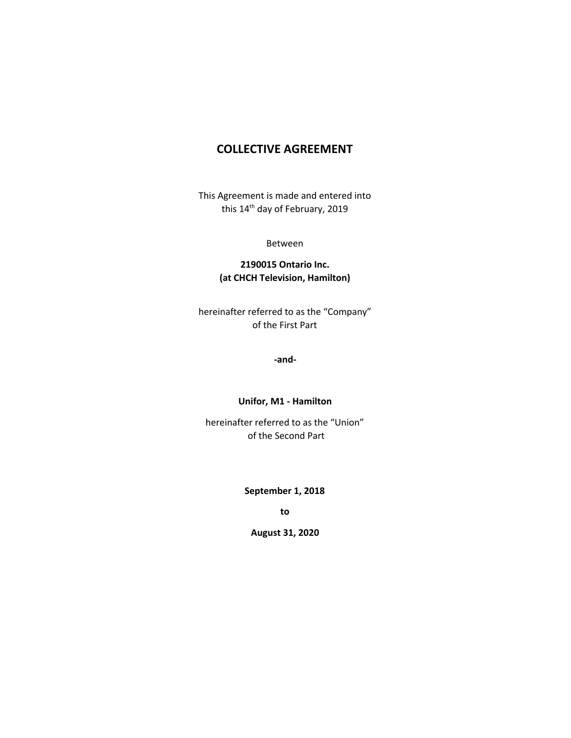# **COLLECTIVE AGREEMENT**

This Agreement is made and entered into this 14<sup>th</sup> day of February, 2019

Between

### **2190015 Ontario Inc. (at CHCH Television, Hamilton)**

hereinafter referred to as the "Company" of the First Part

**-and-**

#### **Unifor, M1 - Hamilton**

hereinafter referred to as the "Union" of the Second Part

**September 1, 2018**

**to**

**August 31, 2020**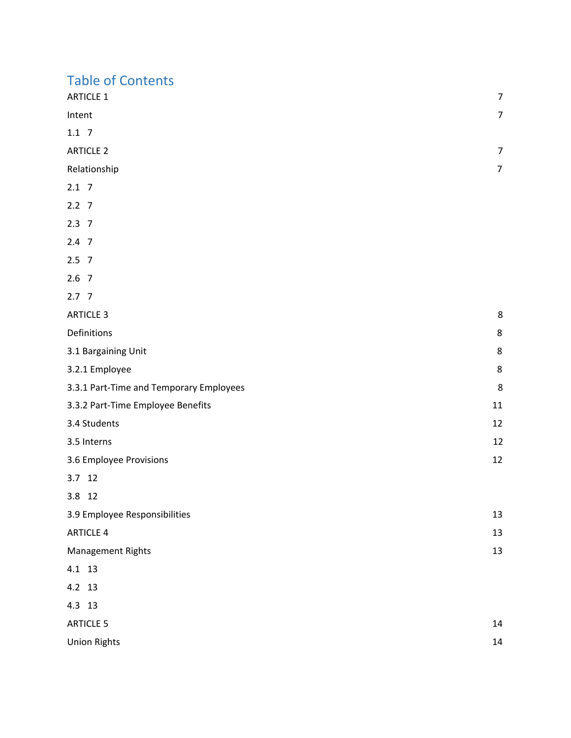# Table of Contents

| <b>ARTICLE 1</b> | $\overline{7}$ |
|------------------|----------------|
| Intent           | $\overline{7}$ |
| $1.1 \t7$        |                |
| <b>ARTICLE 2</b> | 7              |
| Relationship     | $\overline{7}$ |
| $2.1 \quad 7$    |                |
| $2.2$ 7          |                |
| $2.3$ 7          |                |
|                  |                |

- [2.4](#page-7-8) [7](#page-7-8)
- [2.5](#page-7-9) [7](#page-7-9)
- [2.6](#page-7-10) [7](#page-7-10)
- [2.7](#page-7-11) [7](#page-7-11)

| <b>ARTICLE 3</b>                        | 8  |
|-----------------------------------------|----|
| Definitions                             | 8  |
| 3.1 Bargaining Unit                     | 8  |
| 3.2.1 Employee                          | 8  |
| 3.3.1 Part-Time and Temporary Employees | 8  |
| 3.3.2 Part-Time Employee Benefits       | 11 |
| 3.4 Students                            | 12 |
| 3.5 Interns                             | 12 |
| 3.6 Employee Provisions                 | 12 |

[3.7](#page-12-3) [12](#page-12-3)

[3.8](#page-12-4) [12](#page-12-4)

| 3.9 Employee Responsibilities | 13 |
|-------------------------------|----|
| <b>ARTICLE 4</b>              | 13 |
| Management Rights             | 13 |

[4.1](#page-13-3) [13](#page-13-3)

[4.2](#page-13-4) [13](#page-13-4)

[4.3](#page-13-5) [13](#page-13-5)

| <b>ARTICLE 5</b>    | 14 |
|---------------------|----|
| <b>Union Rights</b> | 14 |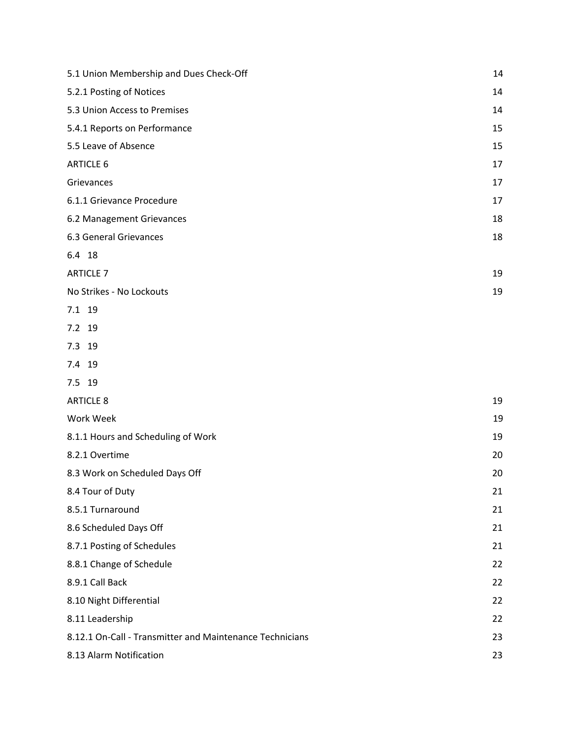| 5.1 Union Membership and Dues Check-Off                  | 14 |
|----------------------------------------------------------|----|
| 5.2.1 Posting of Notices                                 | 14 |
| 5.3 Union Access to Premises                             | 14 |
| 5.4.1 Reports on Performance                             | 15 |
| 5.5 Leave of Absence                                     | 15 |
| <b>ARTICLE 6</b>                                         | 17 |
| Grievances                                               | 17 |
| 6.1.1 Grievance Procedure                                | 17 |
| 6.2 Management Grievances                                | 18 |
| 6.3 General Grievances                                   | 18 |
| 6.4 18                                                   |    |
| <b>ARTICLE 7</b>                                         | 19 |
| No Strikes - No Lockouts                                 | 19 |
| 7.1 19                                                   |    |
| 7.2 19                                                   |    |
| 7.3 19                                                   |    |
| 7.4 19                                                   |    |
| 7.5 19                                                   |    |
| <b>ARTICLE 8</b>                                         | 19 |
| Work Week                                                | 19 |
| 8.1.1 Hours and Scheduling of Work                       | 19 |
| 8.2.1 Overtime                                           | 20 |
| 8.3 Work on Scheduled Days Off                           | 20 |
| 8.4 Tour of Duty                                         | 21 |
| 8.5.1 Turnaround                                         | 21 |
| 8.6 Scheduled Days Off                                   | 21 |
| 8.7.1 Posting of Schedules                               | 21 |
| 8.8.1 Change of Schedule                                 | 22 |
| 8.9.1 Call Back                                          | 22 |
| 8.10 Night Differential                                  | 22 |
| 8.11 Leadership                                          | 22 |
| 8.12.1 On-Call - Transmitter and Maintenance Technicians | 23 |
| 8.13 Alarm Notification                                  | 23 |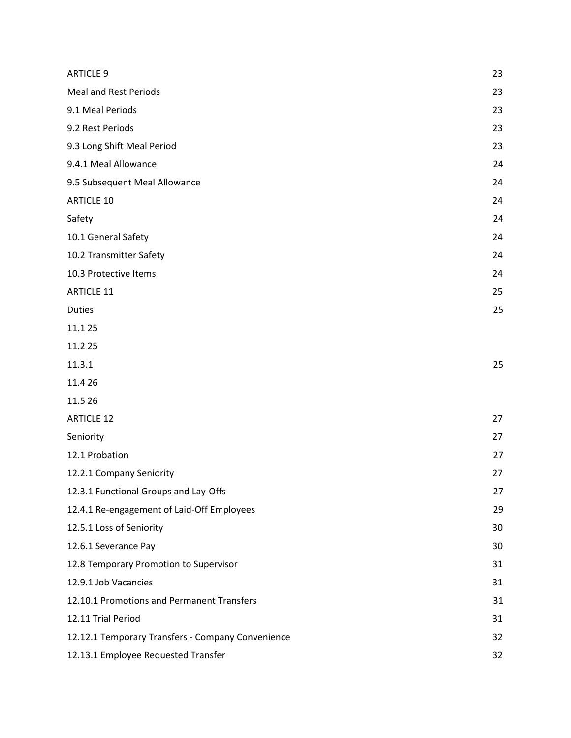| <b>ARTICLE 9</b>                                  | 23 |
|---------------------------------------------------|----|
| <b>Meal and Rest Periods</b>                      | 23 |
| 9.1 Meal Periods                                  | 23 |
| 9.2 Rest Periods                                  | 23 |
| 9.3 Long Shift Meal Period                        | 23 |
| 9.4.1 Meal Allowance                              | 24 |
| 9.5 Subsequent Meal Allowance                     | 24 |
| <b>ARTICLE 10</b>                                 | 24 |
| Safety                                            | 24 |
| 10.1 General Safety                               | 24 |
| 10.2 Transmitter Safety                           | 24 |
| 10.3 Protective Items                             | 24 |
| <b>ARTICLE 11</b>                                 | 25 |
| <b>Duties</b>                                     | 25 |
| 11.1 25                                           |    |
| 11.2 25                                           |    |
| 11.3.1                                            | 25 |
| 11.4 26                                           |    |
| 11.5 26                                           |    |
| <b>ARTICLE 12</b>                                 | 27 |
| Seniority                                         | 27 |
| 12.1 Probation                                    | 27 |
| 12.2.1 Company Seniority                          | 27 |
| 12.3.1 Functional Groups and Lay-Offs             | 27 |
| 12.4.1 Re-engagement of Laid-Off Employees        | 29 |
| 12.5.1 Loss of Seniority                          | 30 |
| 12.6.1 Severance Pay                              | 30 |
| 12.8 Temporary Promotion to Supervisor            | 31 |
| 12.9.1 Job Vacancies                              | 31 |
| 12.10.1 Promotions and Permanent Transfers        | 31 |
| 12.11 Trial Period                                | 31 |
| 12.12.1 Temporary Transfers - Company Convenience | 32 |
| 12.13.1 Employee Requested Transfer               | 32 |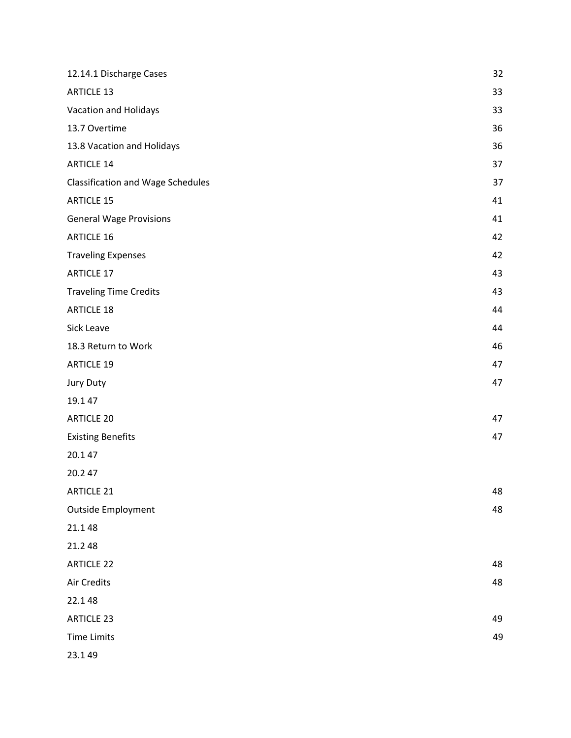| 12.14.1 Discharge Cases           | 32 |
|-----------------------------------|----|
| <b>ARTICLE 13</b>                 | 33 |
| Vacation and Holidays             | 33 |
| 13.7 Overtime                     | 36 |
| 13.8 Vacation and Holidays        | 36 |
| <b>ARTICLE 14</b>                 | 37 |
| Classification and Wage Schedules | 37 |
| <b>ARTICLE 15</b>                 | 41 |
| <b>General Wage Provisions</b>    | 41 |
| <b>ARTICLE 16</b>                 | 42 |
| <b>Traveling Expenses</b>         | 42 |
| <b>ARTICLE 17</b>                 | 43 |
| <b>Traveling Time Credits</b>     | 43 |
| <b>ARTICLE 18</b>                 | 44 |
| Sick Leave                        | 44 |
| 18.3 Return to Work               | 46 |
| <b>ARTICLE 19</b>                 | 47 |
| Jury Duty                         | 47 |
| 19.1 47                           |    |
| <b>ARTICLE 20</b>                 | 47 |
| <b>Existing Benefits</b>          | 47 |
| 20.147                            |    |
| 20.247                            |    |
| <b>ARTICLE 21</b>                 | 48 |
| <b>Outside Employment</b>         | 48 |
| 21.148                            |    |
| 21.2 48                           |    |
| <b>ARTICLE 22</b>                 | 48 |
| Air Credits                       | 48 |
| 22.148                            |    |
| <b>ARTICLE 23</b>                 | 49 |
| <b>Time Limits</b>                | 49 |
| 23.149                            |    |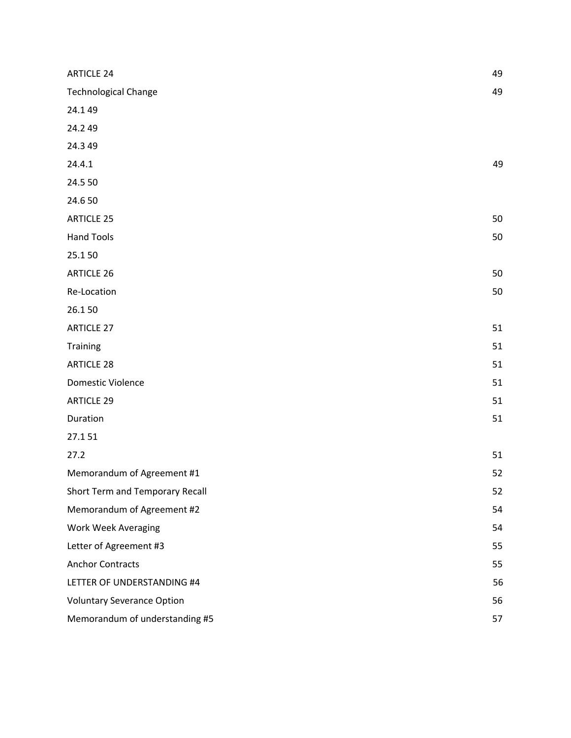| <b>ARTICLE 24</b>                 | 49 |
|-----------------------------------|----|
| <b>Technological Change</b>       | 49 |
| 24.149                            |    |
| 24.249                            |    |
| 24.3 49                           |    |
| 24.4.1                            | 49 |
| 24.5 50                           |    |
| 24.650                            |    |
| <b>ARTICLE 25</b>                 | 50 |
| <b>Hand Tools</b>                 | 50 |
| 25.150                            |    |
| <b>ARTICLE 26</b>                 | 50 |
| Re-Location                       | 50 |
| 26.150                            |    |
| <b>ARTICLE 27</b>                 | 51 |
| <b>Training</b>                   | 51 |
| <b>ARTICLE 28</b>                 | 51 |
| Domestic Violence                 | 51 |
| <b>ARTICLE 29</b>                 | 51 |
| Duration                          | 51 |
| 27.151                            |    |
| 27.2                              | 51 |
| Memorandum of Agreement #1        | 52 |
| Short Term and Temporary Recall   | 52 |
| Memorandum of Agreement #2        | 54 |
| <b>Work Week Averaging</b>        | 54 |
| Letter of Agreement #3            | 55 |
| <b>Anchor Contracts</b>           | 55 |
| LETTER OF UNDERSTANDING #4        | 56 |
| <b>Voluntary Severance Option</b> | 56 |
| Memorandum of understanding #5    | 57 |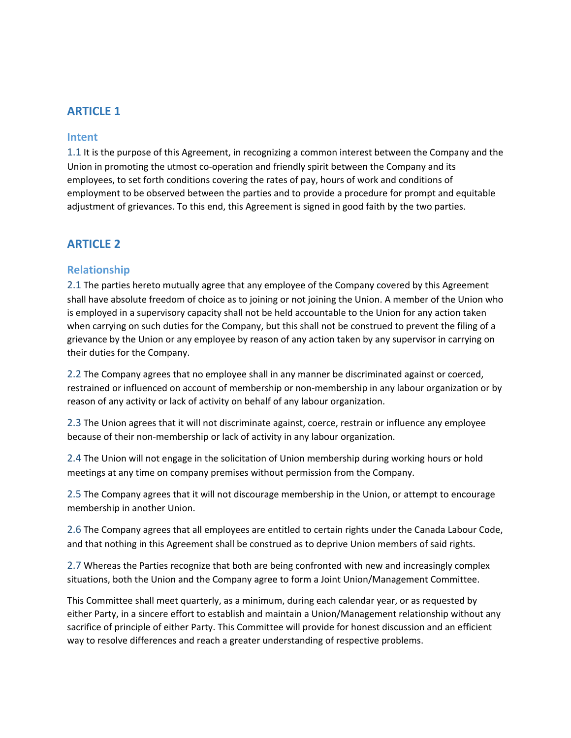# <span id="page-7-0"></span>**ARTICLE 1**

### <span id="page-7-1"></span>**Intent**

<span id="page-7-2"></span>1.1 It is the purpose of this Agreement, in recognizing a common interest between the Company and the Union in promoting the utmost co-operation and friendly spirit between the Company and its employees, to set forth conditions covering the rates of pay, hours of work and conditions of employment to be observed between the parties and to provide a procedure for prompt and equitable adjustment of grievances. To this end, this Agreement is signed in good faith by the two parties.

# <span id="page-7-3"></span>**ARTICLE 2**

### <span id="page-7-4"></span>**Relationship**

<span id="page-7-5"></span>2.1 The parties hereto mutually agree that any employee of the Company covered by this Agreement shall have absolute freedom of choice as to joining or not joining the Union. A member of the Union who is employed in a supervisory capacity shall not be held accountable to the Union for any action taken when carrying on such duties for the Company, but this shall not be construed to prevent the filing of a grievance by the Union or any employee by reason of any action taken by any supervisor in carrying on their duties for the Company.

<span id="page-7-6"></span>2.2 The Company agrees that no employee shall in any manner be discriminated against or coerced, restrained or influenced on account of membership or non-membership in any labour organization or by reason of any activity or lack of activity on behalf of any labour organization.

<span id="page-7-7"></span>2.3 The Union agrees that it will not discriminate against, coerce, restrain or influence any employee because of their non-membership or lack of activity in any labour organization.

<span id="page-7-8"></span>2.4 The Union will not engage in the solicitation of Union membership during working hours or hold meetings at any time on company premises without permission from the Company.

<span id="page-7-9"></span>2.5 The Company agrees that it will not discourage membership in the Union, or attempt to encourage membership in another Union.

<span id="page-7-10"></span>2.6 The Company agrees that all employees are entitled to certain rights under the Canada Labour Code, and that nothing in this Agreement shall be construed as to deprive Union members of said rights.

<span id="page-7-11"></span>2.7 Whereas the Parties recognize that both are being confronted with new and increasingly complex situations, both the Union and the Company agree to form a Joint Union/Management Committee.

This Committee shall meet quarterly, as a minimum, during each calendar year, or as requested by either Party, in a sincere effort to establish and maintain a Union/Management relationship without any sacrifice of principle of either Party. This Committee will provide for honest discussion and an efficient way to resolve differences and reach a greater understanding of respective problems.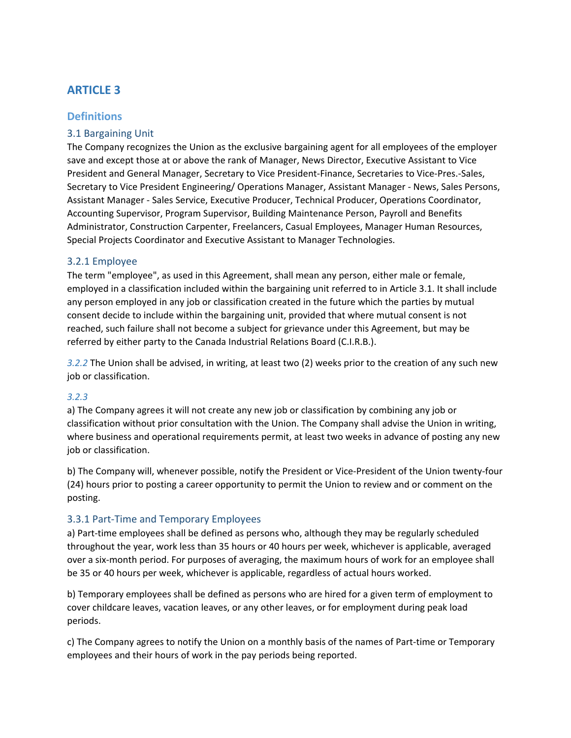# <span id="page-8-0"></span>**ARTICLE 3**

# <span id="page-8-1"></span>**Definitions**

### <span id="page-8-2"></span>3.1 Bargaining Unit

The Company recognizes the Union as the exclusive bargaining agent for all employees of the employer save and except those at or above the rank of Manager, News Director, Executive Assistant to Vice President and General Manager, Secretary to Vice President-Finance, Secretaries to Vice-Pres.-Sales, Secretary to Vice President Engineering/ Operations Manager, Assistant Manager - News, Sales Persons, Assistant Manager - Sales Service, Executive Producer, Technical Producer, Operations Coordinator, Accounting Supervisor, Program Supervisor, Building Maintenance Person, Payroll and Benefits Administrator, Construction Carpenter, Freelancers, Casual Employees, Manager Human Resources, Special Projects Coordinator and Executive Assistant to Manager Technologies.

#### <span id="page-8-3"></span>3.2.1 Employee

The term "employee", as used in this Agreement, shall mean any person, either male or female, employed in a classification included within the bargaining unit referred to in Article 3.1. It shall include any person employed in any job or classification created in the future which the parties by mutual consent decide to include within the bargaining unit, provided that where mutual consent is not reached, such failure shall not become a subject for grievance under this Agreement, but may be referred by either party to the Canada Industrial Relations Board (C.I.R.B.).

*3.2.2* The Union shall be advised, in writing, at least two (2) weeks prior to the creation of any such new job or classification.

#### *3.2.3*

a) The Company agrees it will not create any new job or classification by combining any job or classification without prior consultation with the Union. The Company shall advise the Union in writing, where business and operational requirements permit, at least two weeks in advance of posting any new job or classification.

b) The Company will, whenever possible, notify the President or Vice-President of the Union twenty-four (24) hours prior to posting a career opportunity to permit the Union to review and or comment on the posting.

#### <span id="page-8-4"></span>3.3.1 Part-Time and Temporary Employees

a) Part-time employees shall be defined as persons who, although they may be regularly scheduled throughout the year, work less than 35 hours or 40 hours per week, whichever is applicable, averaged over a six-month period. For purposes of averaging, the maximum hours of work for an employee shall be 35 or 40 hours per week, whichever is applicable, regardless of actual hours worked.

b) Temporary employees shall be defined as persons who are hired for a given term of employment to cover childcare leaves, vacation leaves, or any other leaves, or for employment during peak load periods.

c) The Company agrees to notify the Union on a monthly basis of the names of Part-time or Temporary employees and their hours of work in the pay periods being reported.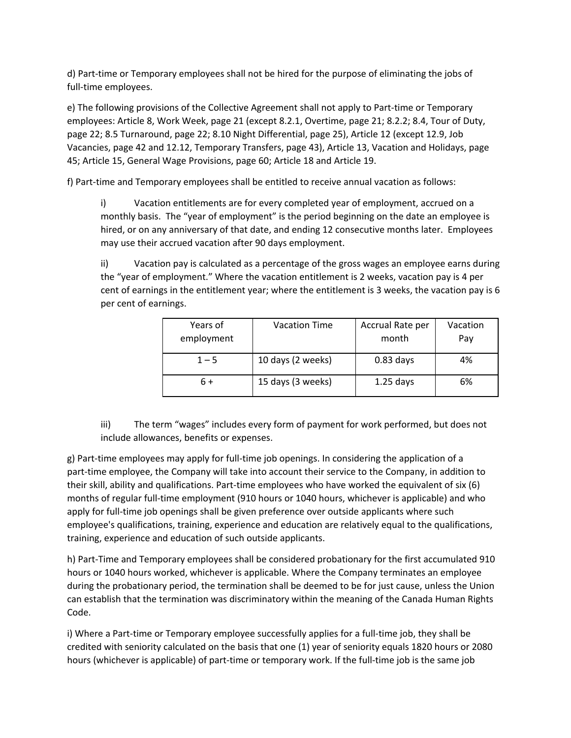d) Part-time or Temporary employees shall not be hired for the purpose of eliminating the jobs of full-time employees.

e) The following provisions of the Collective Agreement shall not apply to Part-time or Temporary employees: Article 8, Work Week, page 21 (except 8.2.1, Overtime, page 21; 8.2.2; 8.4, Tour of Duty, page 22; 8.5 Turnaround, page 22; 8.10 Night Differential, page 25), Article 12 (except 12.9, Job Vacancies, page 42 and 12.12, Temporary Transfers, page 43), Article 13, Vacation and Holidays, page 45; Article 15, General Wage Provisions, page 60; Article 18 and Article 19.

f) Part-time and Temporary employees shall be entitled to receive annual vacation as follows:

i) Vacation entitlements are for every completed year of employment, accrued on a monthly basis. The "year of employment" is the period beginning on the date an employee is hired, or on any anniversary of that date, and ending 12 consecutive months later. Employees may use their accrued vacation after 90 days employment.

ii) Vacation pay is calculated as a percentage of the gross wages an employee earns during the "year of employment." Where the vacation entitlement is 2 weeks, vacation pay is 4 per cent of earnings in the entitlement year; where the entitlement is 3 weeks, the vacation pay is 6 per cent of earnings.

| Years of<br>employment | <b>Vacation Time</b> | Accrual Rate per<br>month | Vacation<br>Pay |
|------------------------|----------------------|---------------------------|-----------------|
| $1 - 5$                | 10 days (2 weeks)    | $0.83$ days               | 4%              |
| 6+                     | 15 days (3 weeks)    | $1.25$ days               | 6%              |

iii) The term "wages" includes every form of payment for work performed, but does not include allowances, benefits or expenses.

g) Part-time employees may apply for full-time job openings. In considering the application of a part-time employee, the Company will take into account their service to the Company, in addition to their skill, ability and qualifications. Part-time employees who have worked the equivalent of six (6) months of regular full-time employment (910 hours or 1040 hours, whichever is applicable) and who apply for full-time job openings shall be given preference over outside applicants where such employee's qualifications, training, experience and education are relatively equal to the qualifications, training, experience and education of such outside applicants.

h) Part-Time and Temporary employees shall be considered probationary for the first accumulated 910 hours or 1040 hours worked, whichever is applicable. Where the Company terminates an employee during the probationary period, the termination shall be deemed to be for just cause, unless the Union can establish that the termination was discriminatory within the meaning of the Canada Human Rights Code.

i) Where a Part-time or Temporary employee successfully applies for a full-time job, they shall be credited with seniority calculated on the basis that one (1) year of seniority equals 1820 hours or 2080 hours (whichever is applicable) of part-time or temporary work. If the full-time job is the same job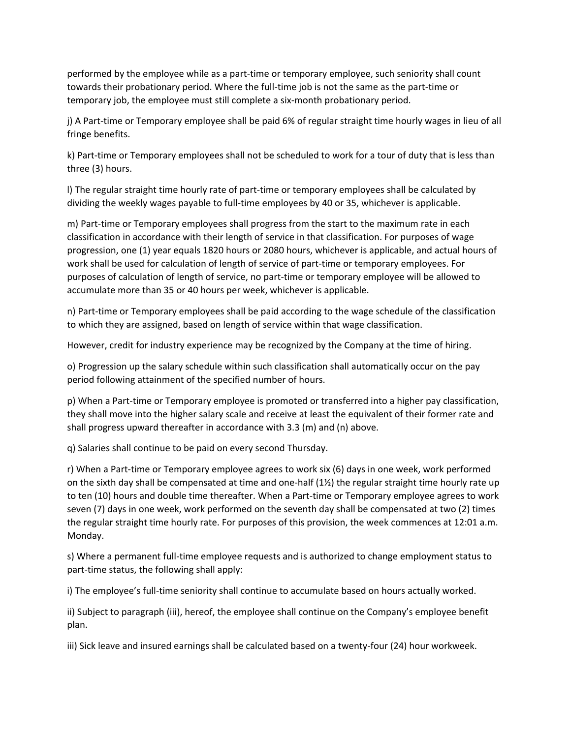performed by the employee while as a part-time or temporary employee, such seniority shall count towards their probationary period. Where the full-time job is not the same as the part-time or temporary job, the employee must still complete a six-month probationary period.

j) A Part-time or Temporary employee shall be paid 6% of regular straight time hourly wages in lieu of all fringe benefits.

k) Part-time or Temporary employees shall not be scheduled to work for a tour of duty that is less than three (3) hours.

l) The regular straight time hourly rate of part-time or temporary employees shall be calculated by dividing the weekly wages payable to full-time employees by 40 or 35, whichever is applicable.

m) Part-time or Temporary employees shall progress from the start to the maximum rate in each classification in accordance with their length of service in that classification. For purposes of wage progression, one (1) year equals 1820 hours or 2080 hours, whichever is applicable, and actual hours of work shall be used for calculation of length of service of part-time or temporary employees. For purposes of calculation of length of service, no part-time or temporary employee will be allowed to accumulate more than 35 or 40 hours per week, whichever is applicable.

n) Part-time or Temporary employees shall be paid according to the wage schedule of the classification to which they are assigned, based on length of service within that wage classification.

However, credit for industry experience may be recognized by the Company at the time of hiring.

o) Progression up the salary schedule within such classification shall automatically occur on the pay period following attainment of the specified number of hours.

p) When a Part-time or Temporary employee is promoted or transferred into a higher pay classification, they shall move into the higher salary scale and receive at least the equivalent of their former rate and shall progress upward thereafter in accordance with 3.3 (m) and (n) above.

q) Salaries shall continue to be paid on every second Thursday.

r) When a Part-time or Temporary employee agrees to work six (6) days in one week, work performed on the sixth day shall be compensated at time and one-half (1½) the regular straight time hourly rate up to ten (10) hours and double time thereafter. When a Part-time or Temporary employee agrees to work seven (7) days in one week, work performed on the seventh day shall be compensated at two (2) times the regular straight time hourly rate. For purposes of this provision, the week commences at 12:01 a.m. Monday.

s) Where a permanent full-time employee requests and is authorized to change employment status to part-time status, the following shall apply:

i) The employee's full-time seniority shall continue to accumulate based on hours actually worked.

ii) Subject to paragraph (iii), hereof, the employee shall continue on the Company's employee benefit plan.

iii) Sick leave and insured earnings shall be calculated based on a twenty-four (24) hour workweek.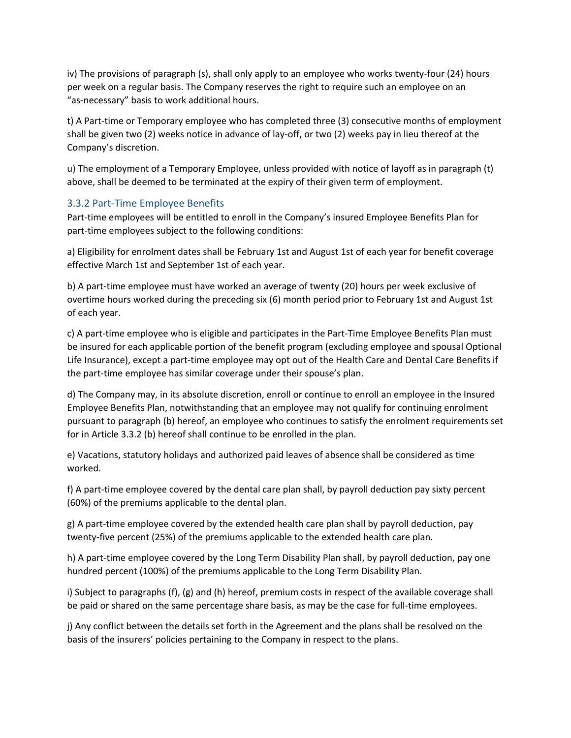iv) The provisions of paragraph (s), shall only apply to an employee who works twenty-four (24) hours per week on a regular basis. The Company reserves the right to require such an employee on an "as-necessary" basis to work additional hours.

t) A Part-time or Temporary employee who has completed three (3) consecutive months of employment shall be given two (2) weeks notice in advance of lay-off, or two (2) weeks pay in lieu thereof at the Company's discretion.

u) The employment of a Temporary Employee, unless provided with notice of layoff as in paragraph (t) above, shall be deemed to be terminated at the expiry of their given term of employment.

#### <span id="page-11-0"></span>3.3.2 Part-Time Employee Benefits

Part-time employees will be entitled to enroll in the Company's insured Employee Benefits Plan for part-time employees subject to the following conditions:

a) Eligibility for enrolment dates shall be February 1st and August 1st of each year for benefit coverage effective March 1st and September 1st of each year.

b) A part-time employee must have worked an average of twenty (20) hours per week exclusive of overtime hours worked during the preceding six (6) month period prior to February 1st and August 1st of each year.

c) A part-time employee who is eligible and participates in the Part-Time Employee Benefits Plan must be insured for each applicable portion of the benefit program (excluding employee and spousal Optional Life Insurance), except a part-time employee may opt out of the Health Care and Dental Care Benefits if the part-time employee has similar coverage under their spouse's plan.

d) The Company may, in its absolute discretion, enroll or continue to enroll an employee in the Insured Employee Benefits Plan, notwithstanding that an employee may not qualify for continuing enrolment pursuant to paragraph (b) hereof, an employee who continues to satisfy the enrolment requirements set for in Article 3.3.2 (b) hereof shall continue to be enrolled in the plan.

e) Vacations, statutory holidays and authorized paid leaves of absence shall be considered as time worked.

f) A part-time employee covered by the dental care plan shall, by payroll deduction pay sixty percent (60%) of the premiums applicable to the dental plan.

g) A part-time employee covered by the extended health care plan shall by payroll deduction, pay twenty-five percent (25%) of the premiums applicable to the extended health care plan.

h) A part-time employee covered by the Long Term Disability Plan shall, by payroll deduction, pay one hundred percent (100%) of the premiums applicable to the Long Term Disability Plan.

i) Subject to paragraphs (f), (g) and (h) hereof, premium costs in respect of the available coverage shall be paid or shared on the same percentage share basis, as may be the case for full-time employees.

j) Any conflict between the details set forth in the Agreement and the plans shall be resolved on the basis of the insurers' policies pertaining to the Company in respect to the plans.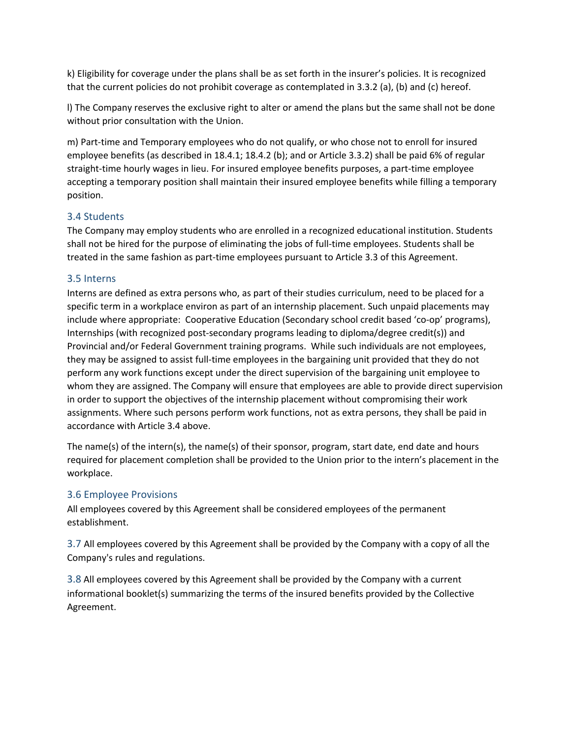k) Eligibility for coverage under the plans shall be as set forth in the insurer's policies. It is recognized that the current policies do not prohibit coverage as contemplated in 3.3.2 (a), (b) and (c) hereof.

l) The Company reserves the exclusive right to alter or amend the plans but the same shall not be done without prior consultation with the Union.

m) Part-time and Temporary employees who do not qualify, or who chose not to enroll for insured employee benefits (as described in 18.4.1; 18.4.2 (b); and or Article 3.3.2) shall be paid 6% of regular straight-time hourly wages in lieu. For insured employee benefits purposes, a part-time employee accepting a temporary position shall maintain their insured employee benefits while filling a temporary position.

#### <span id="page-12-0"></span>3.4 Students

The Company may employ students who are enrolled in a recognized educational institution. Students shall not be hired for the purpose of eliminating the jobs of full-time employees. Students shall be treated in the same fashion as part-time employees pursuant to Article 3.3 of this Agreement.

#### <span id="page-12-1"></span>3.5 Interns

Interns are defined as extra persons who, as part of their studies curriculum, need to be placed for a specific term in a workplace environ as part of an internship placement. Such unpaid placements may include where appropriate: Cooperative Education (Secondary school credit based 'co-op' programs), Internships (with recognized post-secondary programs leading to diploma/degree credit(s)) and Provincial and/or Federal Government training programs. While such individuals are not employees, they may be assigned to assist full-time employees in the bargaining unit provided that they do not perform any work functions except under the direct supervision of the bargaining unit employee to whom they are assigned. The Company will ensure that employees are able to provide direct supervision in order to support the objectives of the internship placement without compromising their work assignments. Where such persons perform work functions, not as extra persons, they shall be paid in accordance with Article 3.4 above.

The name(s) of the intern(s), the name(s) of their sponsor, program, start date, end date and hours required for placement completion shall be provided to the Union prior to the intern's placement in the workplace.

#### <span id="page-12-2"></span>3.6 Employee Provisions

All employees covered by this Agreement shall be considered employees of the permanent establishment.

<span id="page-12-3"></span>3.7 All employees covered by this Agreement shall be provided by the Company with a copy of all the Company's rules and regulations.

<span id="page-12-4"></span>3.8 All employees covered by this Agreement shall be provided by the Company with a current informational booklet(s) summarizing the terms of the insured benefits provided by the Collective Agreement.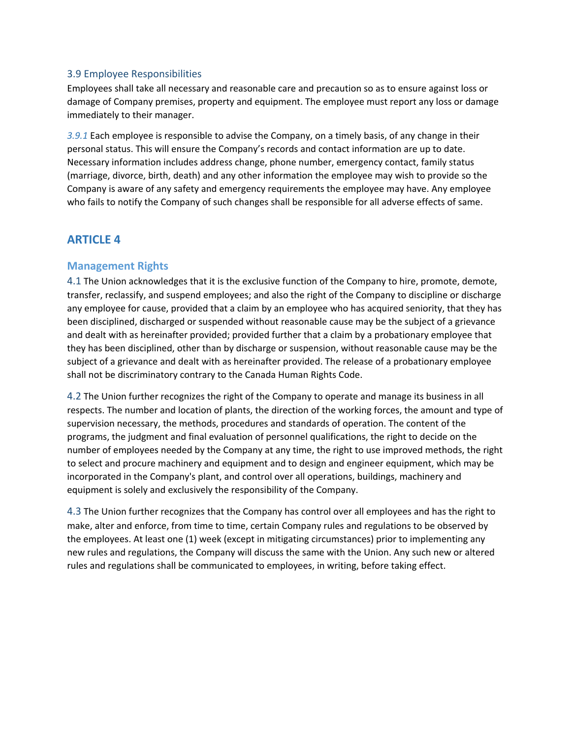#### <span id="page-13-0"></span>3.9 Employee Responsibilities

Employees shall take all necessary and reasonable care and precaution so as to ensure against loss or damage of Company premises, property and equipment. The employee must report any loss or damage immediately to their manager.

*3.9.1* Each employee is responsible to advise the Company, on a timely basis, of any change in their personal status. This will ensure the Company's records and contact information are up to date. Necessary information includes address change, phone number, emergency contact, family status (marriage, divorce, birth, death) and any other information the employee may wish to provide so the Company is aware of any safety and emergency requirements the employee may have. Any employee who fails to notify the Company of such changes shall be responsible for all adverse effects of same.

# <span id="page-13-1"></span>**ARTICLE 4**

### <span id="page-13-2"></span>**Management Rights**

<span id="page-13-3"></span>4.1 The Union acknowledges that it is the exclusive function of the Company to hire, promote, demote, transfer, reclassify, and suspend employees; and also the right of the Company to discipline or discharge any employee for cause, provided that a claim by an employee who has acquired seniority, that they has been disciplined, discharged or suspended without reasonable cause may be the subject of a grievance and dealt with as hereinafter provided; provided further that a claim by a probationary employee that they has been disciplined, other than by discharge or suspension, without reasonable cause may be the subject of a grievance and dealt with as hereinafter provided. The release of a probationary employee shall not be discriminatory contrary to the Canada Human Rights Code.

<span id="page-13-4"></span>4.2 The Union further recognizes the right of the Company to operate and manage its business in all respects. The number and location of plants, the direction of the working forces, the amount and type of supervision necessary, the methods, procedures and standards of operation. The content of the programs, the judgment and final evaluation of personnel qualifications, the right to decide on the number of employees needed by the Company at any time, the right to use improved methods, the right to select and procure machinery and equipment and to design and engineer equipment, which may be incorporated in the Company's plant, and control over all operations, buildings, machinery and equipment is solely and exclusively the responsibility of the Company.

<span id="page-13-5"></span>4.3 The Union further recognizes that the Company has control over all employees and has the right to make, alter and enforce, from time to time, certain Company rules and regulations to be observed by the employees. At least one (1) week (except in mitigating circumstances) prior to implementing any new rules and regulations, the Company will discuss the same with the Union. Any such new or altered rules and regulations shall be communicated to employees, in writing, before taking effect.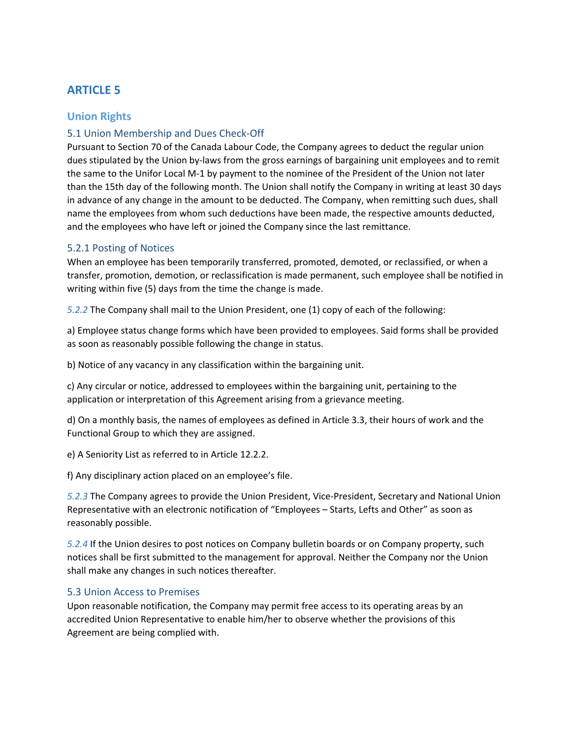# <span id="page-14-0"></span>**ARTICLE 5**

### <span id="page-14-1"></span>**Union Rights**

## <span id="page-14-2"></span>5.1 Union Membership and Dues Check-Off

Pursuant to Section 70 of the Canada Labour Code, the Company agrees to deduct the regular union dues stipulated by the Union by-laws from the gross earnings of bargaining unit employees and to remit the same to the Unifor Local M-1 by payment to the nominee of the President of the Union not later than the 15th day of the following month. The Union shall notify the Company in writing at least 30 days in advance of any change in the amount to be deducted. The Company, when remitting such dues, shall name the employees from whom such deductions have been made, the respective amounts deducted, and the employees who have left or joined the Company since the last remittance.

#### <span id="page-14-3"></span>5.2.1 Posting of Notices

When an employee has been temporarily transferred, promoted, demoted, or reclassified, or when a transfer, promotion, demotion, or reclassification is made permanent, such employee shall be notified in writing within five (5) days from the time the change is made.

*5.2.2* The Company shall mail to the Union President, one (1) copy of each of the following:

a) Employee status change forms which have been provided to employees. Said forms shall be provided as soon as reasonably possible following the change in status.

b) Notice of any vacancy in any classification within the bargaining unit.

c) Any circular or notice, addressed to employees within the bargaining unit, pertaining to the application or interpretation of this Agreement arising from a grievance meeting.

d) On a monthly basis, the names of employees as defined in Article 3.3, their hours of work and the Functional Group to which they are assigned.

e) A Seniority List as referred to in Article 12.2.2.

f) Any disciplinary action placed on an employee's file.

*5.2.3* The Company agrees to provide the Union President, Vice-President, Secretary and National Union Representative with an electronic notification of "Employees – Starts, Lefts and Other" as soon as reasonably possible.

*5.2.4* If the Union desires to post notices on Company bulletin boards or on Company property, such notices shall be first submitted to the management for approval. Neither the Company nor the Union shall make any changes in such notices thereafter.

#### <span id="page-14-4"></span>5.3 Union Access to Premises

Upon reasonable notification, the Company may permit free access to its operating areas by an accredited Union Representative to enable him/her to observe whether the provisions of this Agreement are being complied with.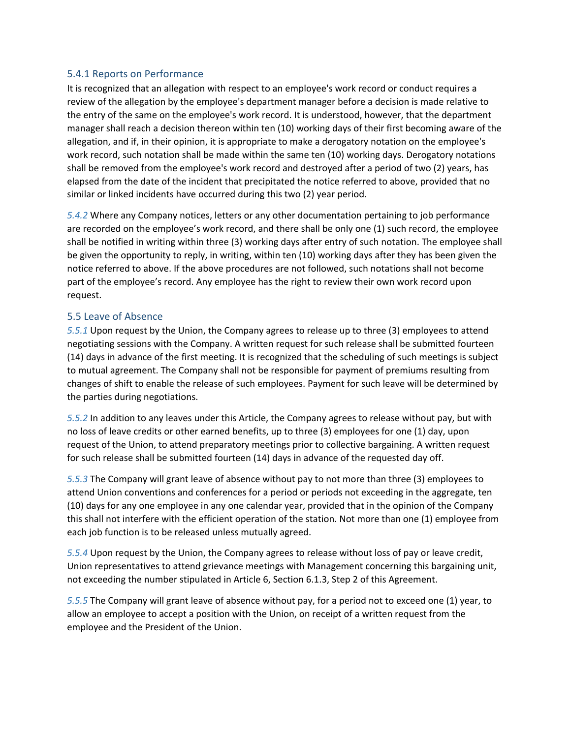#### <span id="page-15-0"></span>5.4.1 Reports on Performance

It is recognized that an allegation with respect to an employee's work record or conduct requires a review of the allegation by the employee's department manager before a decision is made relative to the entry of the same on the employee's work record. It is understood, however, that the department manager shall reach a decision thereon within ten (10) working days of their first becoming aware of the allegation, and if, in their opinion, it is appropriate to make a derogatory notation on the employee's work record, such notation shall be made within the same ten (10) working days. Derogatory notations shall be removed from the employee's work record and destroyed after a period of two (2) years, has elapsed from the date of the incident that precipitated the notice referred to above, provided that no similar or linked incidents have occurred during this two (2) year period.

*5.4.2* Where any Company notices, letters or any other documentation pertaining to job performance are recorded on the employee's work record, and there shall be only one (1) such record, the employee shall be notified in writing within three (3) working days after entry of such notation. The employee shall be given the opportunity to reply, in writing, within ten (10) working days after they has been given the notice referred to above. If the above procedures are not followed, such notations shall not become part of the employee's record. Any employee has the right to review their own work record upon request.

#### <span id="page-15-1"></span>5.5 Leave of Absence

*5.5.1* Upon request by the Union, the Company agrees to release up to three (3) employees to attend negotiating sessions with the Company. A written request for such release shall be submitted fourteen (14) days in advance of the first meeting. It is recognized that the scheduling of such meetings is subject to mutual agreement. The Company shall not be responsible for payment of premiums resulting from changes of shift to enable the release of such employees. Payment for such leave will be determined by the parties during negotiations.

*5.5.2* In addition to any leaves under this Article, the Company agrees to release without pay, but with no loss of leave credits or other earned benefits, up to three (3) employees for one (1) day, upon request of the Union, to attend preparatory meetings prior to collective bargaining. A written request for such release shall be submitted fourteen (14) days in advance of the requested day off.

*5.5.3* The Company will grant leave of absence without pay to not more than three (3) employees to attend Union conventions and conferences for a period or periods not exceeding in the aggregate, ten (10) days for any one employee in any one calendar year, provided that in the opinion of the Company this shall not interfere with the efficient operation of the station. Not more than one (1) employee from each job function is to be released unless mutually agreed.

*5.5.4* Upon request by the Union, the Company agrees to release without loss of pay or leave credit, Union representatives to attend grievance meetings with Management concerning this bargaining unit, not exceeding the number stipulated in Article 6, Section 6.1.3, Step 2 of this Agreement.

*5.5.5* The Company will grant leave of absence without pay, for a period not to exceed one (1) year, to allow an employee to accept a position with the Union, on receipt of a written request from the employee and the President of the Union.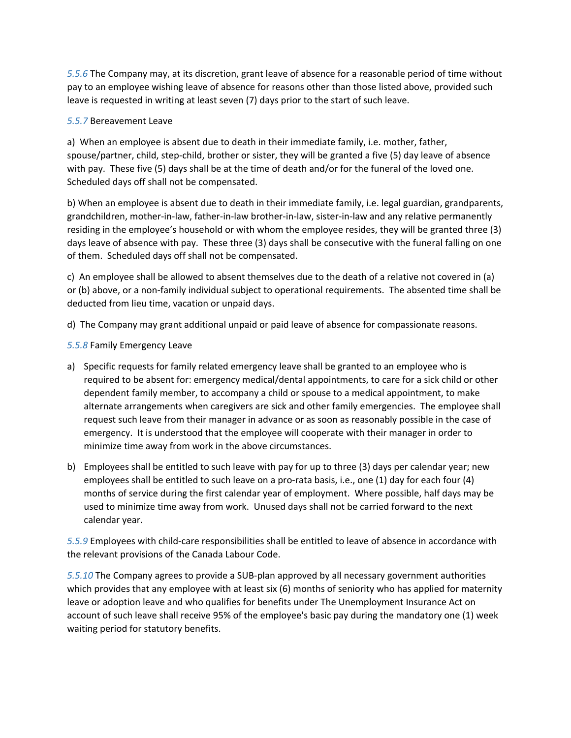*5.5.6* The Company may, at its discretion, grant leave of absence for a reasonable period of time without pay to an employee wishing leave of absence for reasons other than those listed above, provided such leave is requested in writing at least seven (7) days prior to the start of such leave.

#### *5.5.7* Bereavement Leave

a) When an employee is absent due to death in their immediate family, i.e. mother, father, spouse/partner, child, step-child, brother or sister, they will be granted a five (5) day leave of absence with pay. These five (5) days shall be at the time of death and/or for the funeral of the loved one. Scheduled days off shall not be compensated.

b) When an employee is absent due to death in their immediate family, i.e. legal guardian, grandparents, grandchildren, mother-in-law, father-in-law brother-in-law, sister-in-law and any relative permanently residing in the employee's household or with whom the employee resides, they will be granted three (3) days leave of absence with pay. These three (3) days shall be consecutive with the funeral falling on one of them. Scheduled days off shall not be compensated.

c) An employee shall be allowed to absent themselves due to the death of a relative not covered in (a) or (b) above, or a non-family individual subject to operational requirements. The absented time shall be deducted from lieu time, vacation or unpaid days.

d) The Company may grant additional unpaid or paid leave of absence for compassionate reasons.

#### *5.5.8* Family Emergency Leave

- a) Specific requests for family related emergency leave shall be granted to an employee who is required to be absent for: emergency medical/dental appointments, to care for a sick child or other dependent family member, to accompany a child or spouse to a medical appointment, to make alternate arrangements when caregivers are sick and other family emergencies. The employee shall request such leave from their manager in advance or as soon as reasonably possible in the case of emergency. It is understood that the employee will cooperate with their manager in order to minimize time away from work in the above circumstances.
- b) Employees shall be entitled to such leave with pay for up to three (3) days per calendar year; new employees shall be entitled to such leave on a pro-rata basis, i.e., one (1) day for each four (4) months of service during the first calendar year of employment. Where possible, half days may be used to minimize time away from work. Unused days shall not be carried forward to the next calendar year.

*5.5.9* Employees with child-care responsibilities shall be entitled to leave of absence in accordance with the relevant provisions of the Canada Labour Code.

*5.5.10* The Company agrees to provide a SUB-plan approved by all necessary government authorities which provides that any employee with at least six (6) months of seniority who has applied for maternity leave or adoption leave and who qualifies for benefits under The Unemployment Insurance Act on account of such leave shall receive 95% of the employee's basic pay during the mandatory one (1) week waiting period for statutory benefits.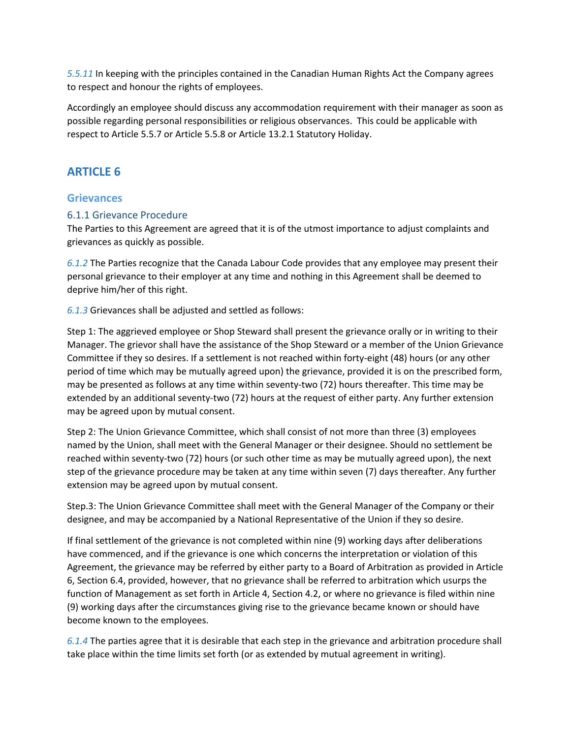*5.5.11* In keeping with the principles contained in the Canadian Human Rights Act the Company agrees to respect and honour the rights of employees.

Accordingly an employee should discuss any accommodation requirement with their manager as soon as possible regarding personal responsibilities or religious observances. This could be applicable with respect to Article 5.5.7 or Article 5.5.8 or Article 13.2.1 Statutory Holiday.

# <span id="page-17-0"></span>**ARTICLE 6**

### <span id="page-17-1"></span>**Grievances**

#### <span id="page-17-2"></span>6.1.1 Grievance Procedure

The Parties to this Agreement are agreed that it is of the utmost importance to adjust complaints and grievances as quickly as possible.

*6.1.2* The Parties recognize that the Canada Labour Code provides that any employee may present their personal grievance to their employer at any time and nothing in this Agreement shall be deemed to deprive him/her of this right.

*6.1.3* Grievances shall be adjusted and settled as follows:

Step 1: The aggrieved employee or Shop Steward shall present the grievance orally or in writing to their Manager. The grievor shall have the assistance of the Shop Steward or a member of the Union Grievance Committee if they so desires. If a settlement is not reached within forty-eight (48) hours (or any other period of time which may be mutually agreed upon) the grievance, provided it is on the prescribed form, may be presented as follows at any time within seventy-two (72) hours thereafter. This time may be extended by an additional seventy-two (72) hours at the request of either party. Any further extension may be agreed upon by mutual consent.

Step 2: The Union Grievance Committee, which shall consist of not more than three (3) employees named by the Union, shall meet with the General Manager or their designee. Should no settlement be reached within seventy-two (72) hours (or such other time as may be mutually agreed upon), the next step of the grievance procedure may be taken at any time within seven (7) days thereafter. Any further extension may be agreed upon by mutual consent.

Step.3: The Union Grievance Committee shall meet with the General Manager of the Company or their designee, and may be accompanied by a National Representative of the Union if they so desire.

If final settlement of the grievance is not completed within nine (9) working days after deliberations have commenced, and if the grievance is one which concerns the interpretation or violation of this Agreement, the grievance may be referred by either party to a Board of Arbitration as provided in Article 6, Section 6.4, provided, however, that no grievance shall be referred to arbitration which usurps the function of Management as set forth in Article 4, Section 4.2, or where no grievance is filed within nine (9) working days after the circumstances giving rise to the grievance became known or should have become known to the employees.

*6.1.4* The parties agree that it is desirable that each step in the grievance and arbitration procedure shall take place within the time limits set forth (or as extended by mutual agreement in writing).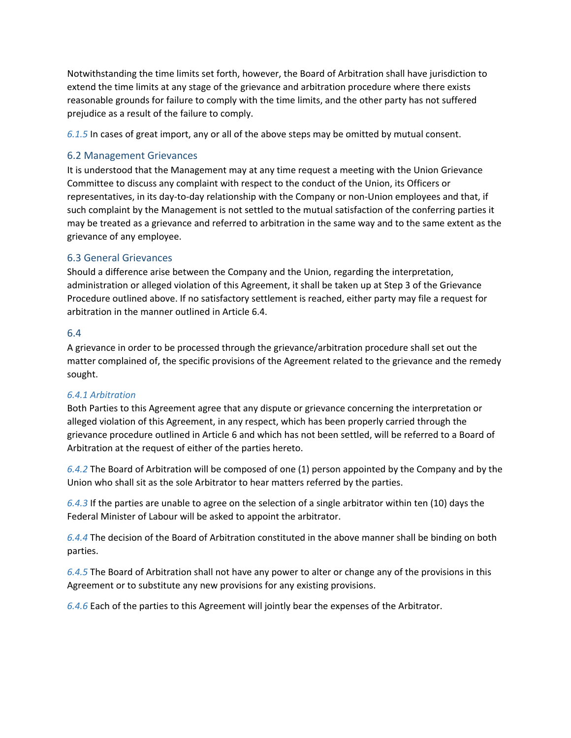Notwithstanding the time limits set forth, however, the Board of Arbitration shall have jurisdiction to extend the time limits at any stage of the grievance and arbitration procedure where there exists reasonable grounds for failure to comply with the time limits, and the other party has not suffered prejudice as a result of the failure to comply.

*6.1.5* In cases of great import, any or all of the above steps may be omitted by mutual consent.

#### <span id="page-18-0"></span>6.2 Management Grievances

It is understood that the Management may at any time request a meeting with the Union Grievance Committee to discuss any complaint with respect to the conduct of the Union, its Officers or representatives, in its day-to-day relationship with the Company or non-Union employees and that, if such complaint by the Management is not settled to the mutual satisfaction of the conferring parties it may be treated as a grievance and referred to arbitration in the same way and to the same extent as the grievance of any employee.

#### <span id="page-18-1"></span>6.3 General Grievances

Should a difference arise between the Company and the Union, regarding the interpretation, administration or alleged violation of this Agreement, it shall be taken up at Step 3 of the Grievance Procedure outlined above. If no satisfactory settlement is reached, either party may file a request for arbitration in the manner outlined in Article 6.4.

#### <span id="page-18-2"></span>6.4

A grievance in order to be processed through the grievance/arbitration procedure shall set out the matter complained of, the specific provisions of the Agreement related to the grievance and the remedy sought.

#### *6.4.1 Arbitration*

Both Parties to this Agreement agree that any dispute or grievance concerning the interpretation or alleged violation of this Agreement, in any respect, which has been properly carried through the grievance procedure outlined in Article 6 and which has not been settled, will be referred to a Board of Arbitration at the request of either of the parties hereto.

*6.4.2* The Board of Arbitration will be composed of one (1) person appointed by the Company and by the Union who shall sit as the sole Arbitrator to hear matters referred by the parties.

*6.4.3* If the parties are unable to agree on the selection of a single arbitrator within ten (10) days the Federal Minister of Labour will be asked to appoint the arbitrator.

*6.4.4* The decision of the Board of Arbitration constituted in the above manner shall be binding on both parties.

*6.4.5* The Board of Arbitration shall not have any power to alter or change any of the provisions in this Agreement or to substitute any new provisions for any existing provisions.

*6.4.6* Each of the parties to this Agreement will jointly bear the expenses of the Arbitrator.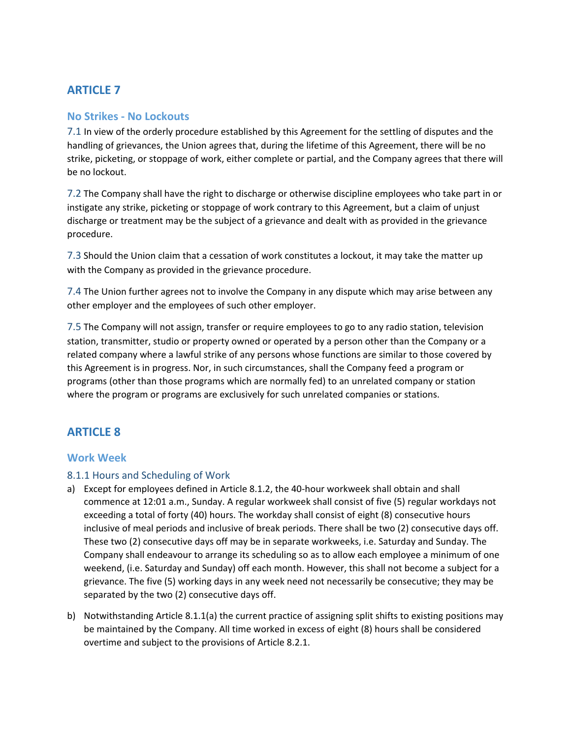# <span id="page-19-0"></span>**ARTICLE 7**

#### <span id="page-19-1"></span>**No Strikes - No Lockouts**

<span id="page-19-2"></span>7.1 In view of the orderly procedure established by this Agreement for the settling of disputes and the handling of grievances, the Union agrees that, during the lifetime of this Agreement, there will be no strike, picketing, or stoppage of work, either complete or partial, and the Company agrees that there will be no lockout.

<span id="page-19-3"></span>7.2 The Company shall have the right to discharge or otherwise discipline employees who take part in or instigate any strike, picketing or stoppage of work contrary to this Agreement, but a claim of unjust discharge or treatment may be the subject of a grievance and dealt with as provided in the grievance procedure.

<span id="page-19-4"></span>7.3 Should the Union claim that a cessation of work constitutes a lockout, it may take the matter up with the Company as provided in the grievance procedure.

<span id="page-19-5"></span>7.4 The Union further agrees not to involve the Company in any dispute which may arise between any other employer and the employees of such other employer.

<span id="page-19-6"></span>7.5 The Company will not assign, transfer or require employees to go to any radio station, television station, transmitter, studio or property owned or operated by a person other than the Company or a related company where a lawful strike of any persons whose functions are similar to those covered by this Agreement is in progress. Nor, in such circumstances, shall the Company feed a program or programs (other than those programs which are normally fed) to an unrelated company or station where the program or programs are exclusively for such unrelated companies or stations.

# <span id="page-19-7"></span>**ARTICLE 8**

#### <span id="page-19-8"></span>**Work Week**

#### <span id="page-19-9"></span>8.1.1 Hours and Scheduling of Work

- a) Except for employees defined in Article 8.1.2, the 40-hour workweek shall obtain and shall commence at 12:01 a.m., Sunday. A regular workweek shall consist of five (5) regular workdays not exceeding a total of forty (40) hours. The workday shall consist of eight (8) consecutive hours inclusive of meal periods and inclusive of break periods. There shall be two (2) consecutive days off. These two (2) consecutive days off may be in separate workweeks, i.e. Saturday and Sunday. The Company shall endeavour to arrange its scheduling so as to allow each employee a minimum of one weekend, (i.e. Saturday and Sunday) off each month. However, this shall not become a subject for a grievance. The five (5) working days in any week need not necessarily be consecutive; they may be separated by the two (2) consecutive days off.
- b) Notwithstanding Article 8.1.1(a) the current practice of assigning split shifts to existing positions may be maintained by the Company. All time worked in excess of eight (8) hours shall be considered overtime and subject to the provisions of Article 8.2.1.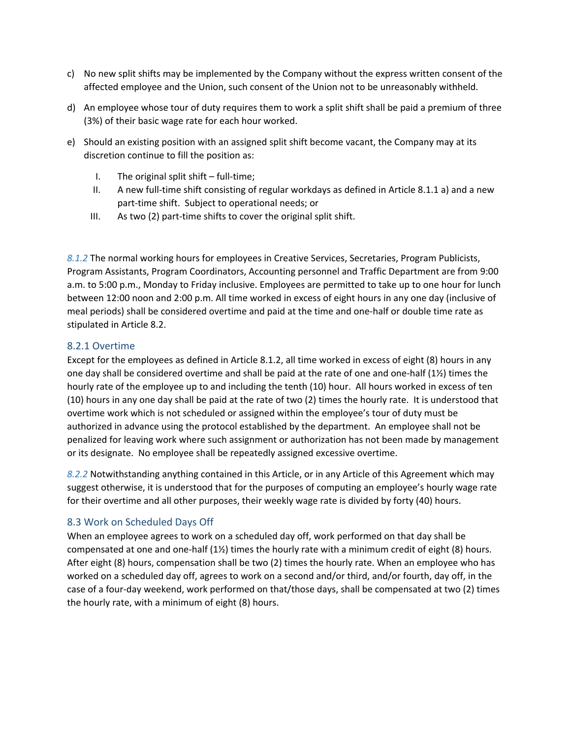- c) No new split shifts may be implemented by the Company without the express written consent of the affected employee and the Union, such consent of the Union not to be unreasonably withheld.
- d) An employee whose tour of duty requires them to work a split shift shall be paid a premium of three (3%) of their basic wage rate for each hour worked.
- e) Should an existing position with an assigned split shift become vacant, the Company may at its discretion continue to fill the position as:
	- I. The original split shift full-time;
	- II. A new full-time shift consisting of regular workdays as defined in Article 8.1.1 a) and a new part-time shift. Subject to operational needs; or
	- III. As two (2) part-time shifts to cover the original split shift.

*8.1.2* The normal working hours for employees in Creative Services, Secretaries, Program Publicists, Program Assistants, Program Coordinators, Accounting personnel and Traffic Department are from 9:00 a.m. to 5:00 p.m., Monday to Friday inclusive. Employees are permitted to take up to one hour for lunch between 12:00 noon and 2:00 p.m. All time worked in excess of eight hours in any one day (inclusive of meal periods) shall be considered overtime and paid at the time and one-half or double time rate as stipulated in Article 8.2.

#### <span id="page-20-0"></span>8.2.1 Overtime

Except for the employees as defined in Article 8.1.2, all time worked in excess of eight (8) hours in any one day shall be considered overtime and shall be paid at the rate of one and one-half  $(1\frac{1}{2})$  times the hourly rate of the employee up to and including the tenth (10) hour. All hours worked in excess of ten (10) hours in any one day shall be paid at the rate of two (2) times the hourly rate. It is understood that overtime work which is not scheduled or assigned within the employee's tour of duty must be authorized in advance using the protocol established by the department. An employee shall not be penalized for leaving work where such assignment or authorization has not been made by management or its designate. No employee shall be repeatedly assigned excessive overtime.

*8.2.2* Notwithstanding anything contained in this Article, or in any Article of this Agreement which may suggest otherwise, it is understood that for the purposes of computing an employee's hourly wage rate for their overtime and all other purposes, their weekly wage rate is divided by forty (40) hours.

#### <span id="page-20-1"></span>8.3 Work on Scheduled Days Off

When an employee agrees to work on a scheduled day off, work performed on that day shall be compensated at one and one-half (1½) times the hourly rate with a minimum credit of eight (8) hours. After eight (8) hours, compensation shall be two (2) times the hourly rate. When an employee who has worked on a scheduled day off, agrees to work on a second and/or third, and/or fourth, day off, in the case of a four-day weekend, work performed on that/those days, shall be compensated at two (2) times the hourly rate, with a minimum of eight (8) hours.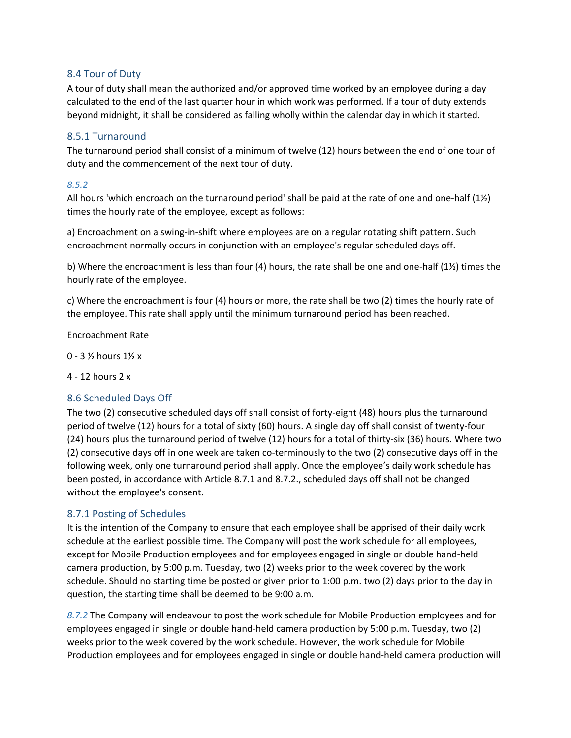### <span id="page-21-0"></span>8.4 Tour of Duty

A tour of duty shall mean the authorized and/or approved time worked by an employee during a day calculated to the end of the last quarter hour in which work was performed. If a tour of duty extends beyond midnight, it shall be considered as falling wholly within the calendar day in which it started.

#### <span id="page-21-1"></span>8.5.1 Turnaround

The turnaround period shall consist of a minimum of twelve (12) hours between the end of one tour of duty and the commencement of the next tour of duty.

#### *8.5.2*

All hours 'which encroach on the turnaround period' shall be paid at the rate of one and one-half (1½) times the hourly rate of the employee, except as follows:

a) Encroachment on a swing-in-shift where employees are on a regular rotating shift pattern. Such encroachment normally occurs in conjunction with an employee's regular scheduled days off.

b) Where the encroachment is less than four (4) hours, the rate shall be one and one-half (1½) times the hourly rate of the employee.

c) Where the encroachment is four (4) hours or more, the rate shall be two (2) times the hourly rate of the employee. This rate shall apply until the minimum turnaround period has been reached.

Encroachment Rate

- 0 3 ½ hours 1½ x
- 4 12 hours 2 x

#### <span id="page-21-2"></span>8.6 Scheduled Days Off

The two (2) consecutive scheduled days off shall consist of forty-eight (48) hours plus the turnaround period of twelve (12) hours for a total of sixty (60) hours. A single day off shall consist of twenty-four (24) hours plus the turnaround period of twelve (12) hours for a total of thirty-six (36) hours. Where two (2) consecutive days off in one week are taken co-terminously to the two (2) consecutive days off in the following week, only one turnaround period shall apply. Once the employee's daily work schedule has been posted, in accordance with Article 8.7.1 and 8.7.2., scheduled days off shall not be changed without the employee's consent.

#### <span id="page-21-3"></span>8.7.1 Posting of Schedules

It is the intention of the Company to ensure that each employee shall be apprised of their daily work schedule at the earliest possible time. The Company will post the work schedule for all employees, except for Mobile Production employees and for employees engaged in single or double hand-held camera production, by 5:00 p.m. Tuesday, two (2) weeks prior to the week covered by the work schedule. Should no starting time be posted or given prior to 1:00 p.m. two (2) days prior to the day in question, the starting time shall be deemed to be 9:00 a.m.

*8.7.2* The Company will endeavour to post the work schedule for Mobile Production employees and for employees engaged in single or double hand-held camera production by 5:00 p.m. Tuesday, two (2) weeks prior to the week covered by the work schedule. However, the work schedule for Mobile Production employees and for employees engaged in single or double hand-held camera production will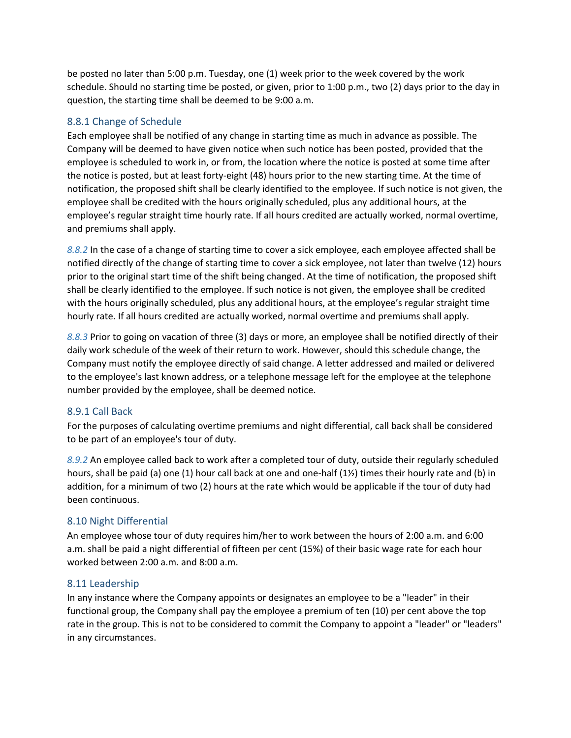be posted no later than 5:00 p.m. Tuesday, one (1) week prior to the week covered by the work schedule. Should no starting time be posted, or given, prior to 1:00 p.m., two (2) days prior to the day in question, the starting time shall be deemed to be 9:00 a.m.

#### <span id="page-22-0"></span>8.8.1 Change of Schedule

Each employee shall be notified of any change in starting time as much in advance as possible. The Company will be deemed to have given notice when such notice has been posted, provided that the employee is scheduled to work in, or from, the location where the notice is posted at some time after the notice is posted, but at least forty-eight (48) hours prior to the new starting time. At the time of notification, the proposed shift shall be clearly identified to the employee. If such notice is not given, the employee shall be credited with the hours originally scheduled, plus any additional hours, at the employee's regular straight time hourly rate. If all hours credited are actually worked, normal overtime, and premiums shall apply.

*8.8.2* In the case of a change of starting time to cover a sick employee, each employee affected shall be notified directly of the change of starting time to cover a sick employee, not later than twelve (12) hours prior to the original start time of the shift being changed. At the time of notification, the proposed shift shall be clearly identified to the employee. If such notice is not given, the employee shall be credited with the hours originally scheduled, plus any additional hours, at the employee's regular straight time hourly rate. If all hours credited are actually worked, normal overtime and premiums shall apply.

*8.8.3* Prior to going on vacation of three (3) days or more, an employee shall be notified directly of their daily work schedule of the week of their return to work. However, should this schedule change, the Company must notify the employee directly of said change. A letter addressed and mailed or delivered to the employee's last known address, or a telephone message left for the employee at the telephone number provided by the employee, shall be deemed notice.

#### <span id="page-22-1"></span>8.9.1 Call Back

For the purposes of calculating overtime premiums and night differential, call back shall be considered to be part of an employee's tour of duty.

*8.9.2* An employee called back to work after a completed tour of duty, outside their regularly scheduled hours, shall be paid (a) one (1) hour call back at one and one-half (1½) times their hourly rate and (b) in addition, for a minimum of two (2) hours at the rate which would be applicable if the tour of duty had been continuous.

## <span id="page-22-2"></span>8.10 Night Differential

An employee whose tour of duty requires him/her to work between the hours of 2:00 a.m. and 6:00 a.m. shall be paid a night differential of fifteen per cent (15%) of their basic wage rate for each hour worked between 2:00 a.m. and 8:00 a.m.

#### <span id="page-22-3"></span>8.11 Leadership

In any instance where the Company appoints or designates an employee to be a "leader" in their functional group, the Company shall pay the employee a premium of ten (10) per cent above the top rate in the group. This is not to be considered to commit the Company to appoint a "leader" or "leaders" in any circumstances.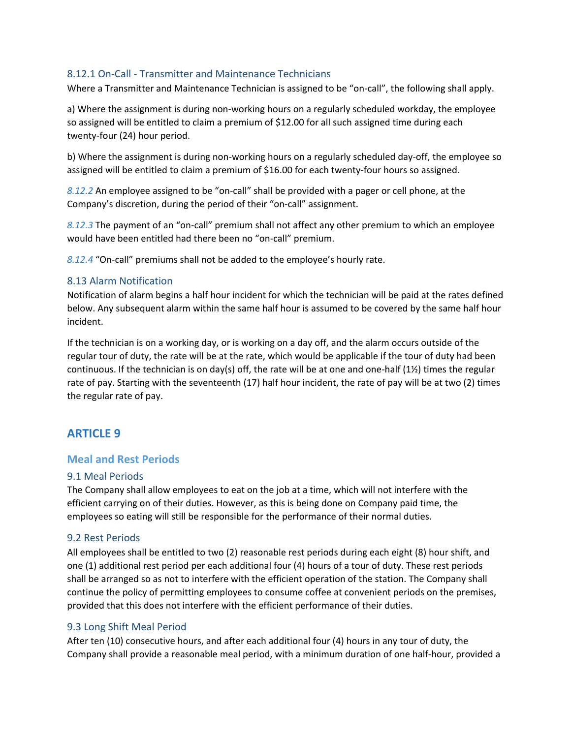### <span id="page-23-0"></span>8.12.1 On-Call - Transmitter and Maintenance Technicians

Where a Transmitter and Maintenance Technician is assigned to be "on-call", the following shall apply.

a) Where the assignment is during non-working hours on a regularly scheduled workday, the employee so assigned will be entitled to claim a premium of \$12.00 for all such assigned time during each twenty-four (24) hour period.

b) Where the assignment is during non-working hours on a regularly scheduled day-off, the employee so assigned will be entitled to claim a premium of \$16.00 for each twenty-four hours so assigned.

*8.12.2* An employee assigned to be "on-call" shall be provided with a pager or cell phone, at the Company's discretion, during the period of their "on-call" assignment.

*8.12.3* The payment of an "on-call" premium shall not affect any other premium to which an employee would have been entitled had there been no "on-call" premium.

*8.12.4* "On-call" premiums shall not be added to the employee's hourly rate.

#### <span id="page-23-1"></span>8.13 Alarm Notification

Notification of alarm begins a half hour incident for which the technician will be paid at the rates defined below. Any subsequent alarm within the same half hour is assumed to be covered by the same half hour incident.

If the technician is on a working day, or is working on a day off, and the alarm occurs outside of the regular tour of duty, the rate will be at the rate, which would be applicable if the tour of duty had been continuous. If the technician is on day(s) off, the rate will be at one and one-half (1½) times the regular rate of pay. Starting with the seventeenth (17) half hour incident, the rate of pay will be at two (2) times the regular rate of pay.

# <span id="page-23-2"></span>**ARTICLE 9**

#### <span id="page-23-3"></span>**Meal and Rest Periods**

#### <span id="page-23-4"></span>9.1 Meal Periods

The Company shall allow employees to eat on the job at a time, which will not interfere with the efficient carrying on of their duties. However, as this is being done on Company paid time, the employees so eating will still be responsible for the performance of their normal duties.

#### <span id="page-23-5"></span>9.2 Rest Periods

All employees shall be entitled to two (2) reasonable rest periods during each eight (8) hour shift, and one (1) additional rest period per each additional four (4) hours of a tour of duty. These rest periods shall be arranged so as not to interfere with the efficient operation of the station. The Company shall continue the policy of permitting employees to consume coffee at convenient periods on the premises, provided that this does not interfere with the efficient performance of their duties.

#### <span id="page-23-6"></span>9.3 Long Shift Meal Period

After ten (10) consecutive hours, and after each additional four (4) hours in any tour of duty, the Company shall provide a reasonable meal period, with a minimum duration of one half-hour, provided a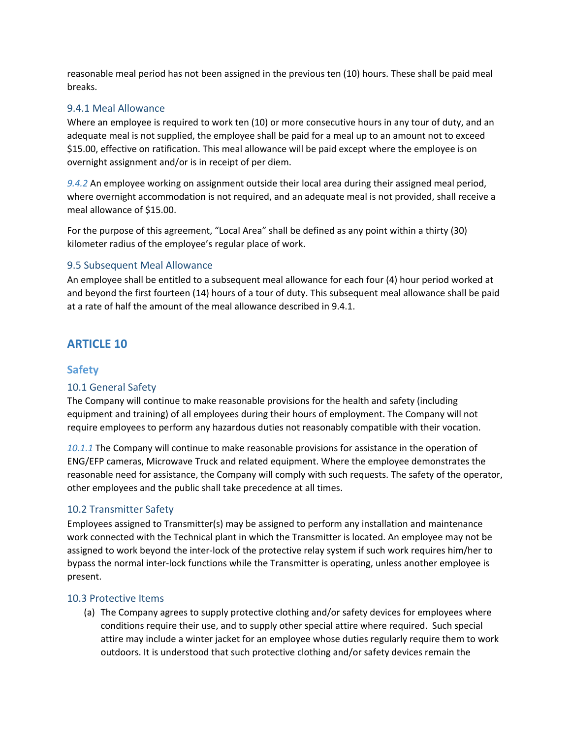reasonable meal period has not been assigned in the previous ten (10) hours. These shall be paid meal breaks.

#### <span id="page-24-0"></span>9.4.1 Meal Allowance

Where an employee is required to work ten (10) or more consecutive hours in any tour of duty, and an adequate meal is not supplied, the employee shall be paid for a meal up to an amount not to exceed \$15.00, effective on ratification. This meal allowance will be paid except where the employee is on overnight assignment and/or is in receipt of per diem.

*9.4.2* An employee working on assignment outside their local area during their assigned meal period, where overnight accommodation is not required, and an adequate meal is not provided, shall receive a meal allowance of \$15.00.

For the purpose of this agreement, "Local Area" shall be defined as any point within a thirty (30) kilometer radius of the employee's regular place of work.

### <span id="page-24-1"></span>9.5 Subsequent Meal Allowance

An employee shall be entitled to a subsequent meal allowance for each four (4) hour period worked at and beyond the first fourteen (14) hours of a tour of duty. This subsequent meal allowance shall be paid at a rate of half the amount of the meal allowance described in 9.4.1.

# <span id="page-24-2"></span>**ARTICLE 10**

## <span id="page-24-3"></span>**Safety**

#### <span id="page-24-4"></span>10.1 General Safety

The Company will continue to make reasonable provisions for the health and safety (including equipment and training) of all employees during their hours of employment. The Company will not require employees to perform any hazardous duties not reasonably compatible with their vocation.

*10.1.1* The Company will continue to make reasonable provisions for assistance in the operation of ENG/EFP cameras, Microwave Truck and related equipment. Where the employee demonstrates the reasonable need for assistance, the Company will comply with such requests. The safety of the operator, other employees and the public shall take precedence at all times.

#### <span id="page-24-5"></span>10.2 Transmitter Safety

Employees assigned to Transmitter(s) may be assigned to perform any installation and maintenance work connected with the Technical plant in which the Transmitter is located. An employee may not be assigned to work beyond the inter-lock of the protective relay system if such work requires him/her to bypass the normal inter-lock functions while the Transmitter is operating, unless another employee is present.

#### <span id="page-24-6"></span>10.3 Protective Items

(a) The Company agrees to supply protective clothing and/or safety devices for employees where conditions require their use, and to supply other special attire where required. Such special attire may include a winter jacket for an employee whose duties regularly require them to work outdoors. It is understood that such protective clothing and/or safety devices remain the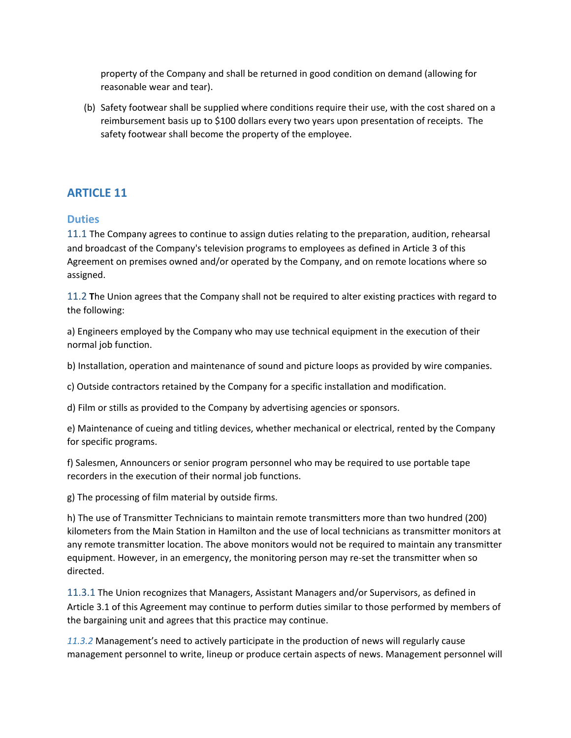property of the Company and shall be returned in good condition on demand (allowing for reasonable wear and tear).

(b) Safety footwear shall be supplied where conditions require their use, with the cost shared on a reimbursement basis up to \$100 dollars every two years upon presentation of receipts. The safety footwear shall become the property of the employee.

# <span id="page-25-0"></span>**ARTICLE 11**

### <span id="page-25-1"></span>**Duties**

<span id="page-25-2"></span>11.1 The Company agrees to continue to assign duties relating to the preparation, audition, rehearsal and broadcast of the Company's television programs to employees as defined in Article 3 of this Agreement on premises owned and/or operated by the Company, and on remote locations where so assigned.

<span id="page-25-3"></span>11.2 **T**he Union agrees that the Company shall not be required to alter existing practices with regard to the following:

a) Engineers employed by the Company who may use technical equipment in the execution of their normal job function.

b) Installation, operation and maintenance of sound and picture loops as provided by wire companies.

c) Outside contractors retained by the Company for a specific installation and modification.

d) Film or stills as provided to the Company by advertising agencies or sponsors.

e) Maintenance of cueing and titling devices, whether mechanical or electrical, rented by the Company for specific programs.

f) Salesmen, Announcers or senior program personnel who may be required to use portable tape recorders in the execution of their normal job functions.

g) The processing of film material by outside firms.

h) The use of Transmitter Technicians to maintain remote transmitters more than two hundred (200) kilometers from the Main Station in Hamilton and the use of local technicians as transmitter monitors at any remote transmitter location. The above monitors would not be required to maintain any transmitter equipment. However, in an emergency, the monitoring person may re-set the transmitter when so directed.

<span id="page-25-4"></span>11.3.1 The Union recognizes that Managers, Assistant Managers and/or Supervisors, as defined in Article 3.1 of this Agreement may continue to perform duties similar to those performed by members of the bargaining unit and agrees that this practice may continue.

*11.3.2* Management's need to actively participate in the production of news will regularly cause management personnel to write, lineup or produce certain aspects of news. Management personnel will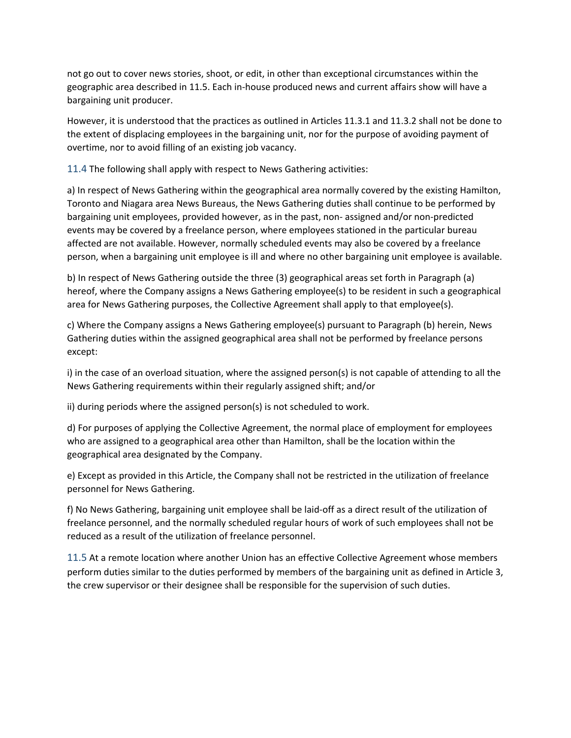not go out to cover news stories, shoot, or edit, in other than exceptional circumstances within the geographic area described in 11.5. Each in-house produced news and current affairs show will have a bargaining unit producer.

However, it is understood that the practices as outlined in Articles 11.3.1 and 11.3.2 shall not be done to the extent of displacing employees in the bargaining unit, nor for the purpose of avoiding payment of overtime, nor to avoid filling of an existing job vacancy.

<span id="page-26-0"></span>11.4 The following shall apply with respect to News Gathering activities:

a) In respect of News Gathering within the geographical area normally covered by the existing Hamilton, Toronto and Niagara area News Bureaus, the News Gathering duties shall continue to be performed by bargaining unit employees, provided however, as in the past, non- assigned and/or non-predicted events may be covered by a freelance person, where employees stationed in the particular bureau affected are not available. However, normally scheduled events may also be covered by a freelance person, when a bargaining unit employee is ill and where no other bargaining unit employee is available.

b) In respect of News Gathering outside the three (3) geographical areas set forth in Paragraph (a) hereof, where the Company assigns a News Gathering employee(s) to be resident in such a geographical area for News Gathering purposes, the Collective Agreement shall apply to that employee(s).

c) Where the Company assigns a News Gathering employee(s) pursuant to Paragraph (b) herein, News Gathering duties within the assigned geographical area shall not be performed by freelance persons except:

i) in the case of an overload situation, where the assigned person(s) is not capable of attending to all the News Gathering requirements within their regularly assigned shift; and/or

ii) during periods where the assigned person(s) is not scheduled to work.

d) For purposes of applying the Collective Agreement, the normal place of employment for employees who are assigned to a geographical area other than Hamilton, shall be the location within the geographical area designated by the Company.

e) Except as provided in this Article, the Company shall not be restricted in the utilization of freelance personnel for News Gathering.

f) No News Gathering, bargaining unit employee shall be laid-off as a direct result of the utilization of freelance personnel, and the normally scheduled regular hours of work of such employees shall not be reduced as a result of the utilization of freelance personnel.

<span id="page-26-1"></span>11.5 At a remote location where another Union has an effective Collective Agreement whose members perform duties similar to the duties performed by members of the bargaining unit as defined in Article 3, the crew supervisor or their designee shall be responsible for the supervision of such duties.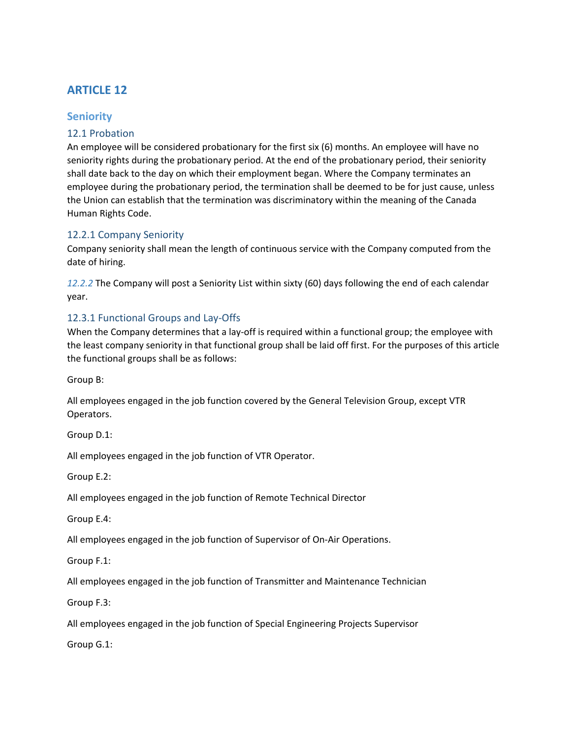# <span id="page-27-0"></span>**ARTICLE 12**

# <span id="page-27-1"></span>**Seniority**

### <span id="page-27-2"></span>12.1 Probation

An employee will be considered probationary for the first six (6) months. An employee will have no seniority rights during the probationary period. At the end of the probationary period, their seniority shall date back to the day on which their employment began. Where the Company terminates an employee during the probationary period, the termination shall be deemed to be for just cause, unless the Union can establish that the termination was discriminatory within the meaning of the Canada Human Rights Code.

#### <span id="page-27-3"></span>12.2.1 Company Seniority

Company seniority shall mean the length of continuous service with the Company computed from the date of hiring.

*12.2.2* The Company will post a Seniority List within sixty (60) days following the end of each calendar year.

## <span id="page-27-4"></span>12.3.1 Functional Groups and Lay-Offs

When the Company determines that a lay-off is required within a functional group; the employee with the least company seniority in that functional group shall be laid off first. For the purposes of this article the functional groups shall be as follows:

Group B:

All employees engaged in the job function covered by the General Television Group, except VTR Operators.

Group D.1:

All employees engaged in the job function of VTR Operator.

Group E.2:

All employees engaged in the job function of Remote Technical Director

Group E.4:

All employees engaged in the job function of Supervisor of On-Air Operations.

Group F.1:

All employees engaged in the job function of Transmitter and Maintenance Technician

Group F.3:

All employees engaged in the job function of Special Engineering Projects Supervisor

Group G.1: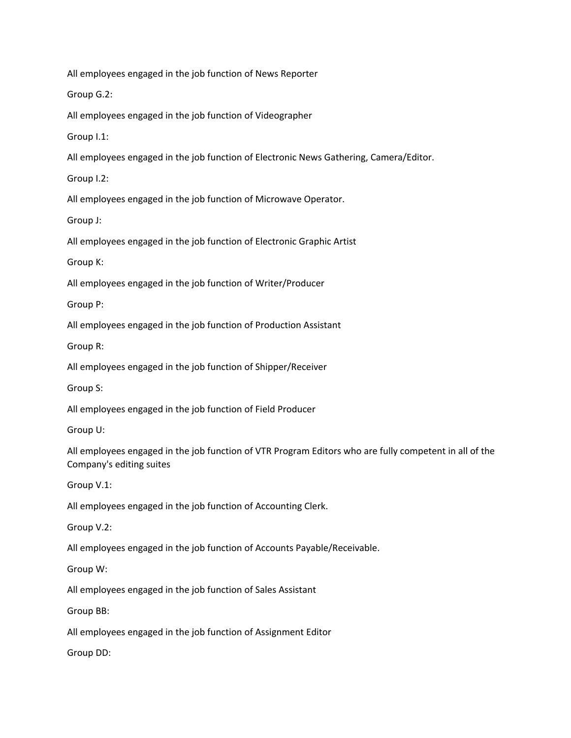All employees engaged in the job function of News Reporter

Group G.2:

All employees engaged in the job function of Videographer

Group I.1:

All employees engaged in the job function of Electronic News Gathering, Camera/Editor.

Group I.2:

All employees engaged in the job function of Microwave Operator.

Group J:

All employees engaged in the job function of Electronic Graphic Artist

Group K:

All employees engaged in the job function of Writer/Producer

Group P:

All employees engaged in the job function of Production Assistant

Group R:

All employees engaged in the job function of Shipper/Receiver

Group S:

All employees engaged in the job function of Field Producer

Group U:

All employees engaged in the job function of VTR Program Editors who are fully competent in all of the Company's editing suites

Group V.1:

All employees engaged in the job function of Accounting Clerk.

Group V.2:

All employees engaged in the job function of Accounts Payable/Receivable.

Group W:

All employees engaged in the job function of Sales Assistant

Group BB:

All employees engaged in the job function of Assignment Editor

Group DD: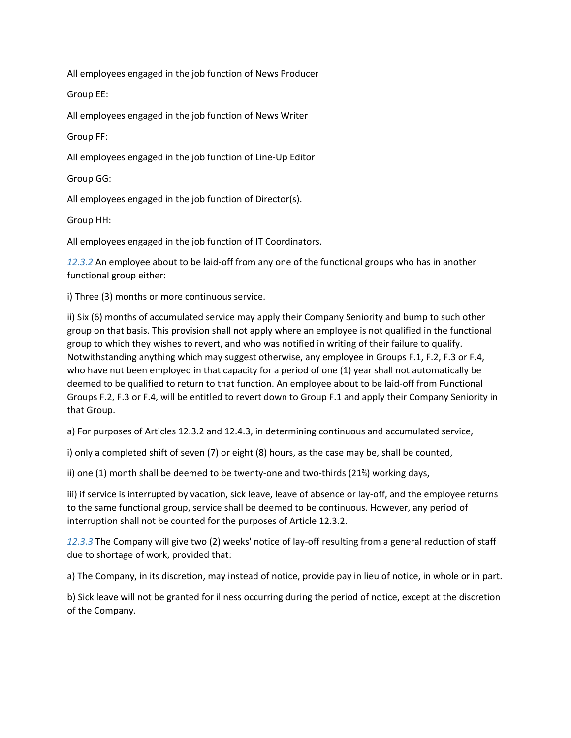All employees engaged in the job function of News Producer

Group EE:

All employees engaged in the job function of News Writer

Group FF:

All employees engaged in the job function of Line-Up Editor

Group GG:

All employees engaged in the job function of Director(s).

Group HH:

All employees engaged in the job function of IT Coordinators.

*12.3.2* An employee about to be laid-off from any one of the functional groups who has in another functional group either:

i) Three (3) months or more continuous service.

ii) Six (6) months of accumulated service may apply their Company Seniority and bump to such other group on that basis. This provision shall not apply where an employee is not qualified in the functional group to which they wishes to revert, and who was notified in writing of their failure to qualify. Notwithstanding anything which may suggest otherwise, any employee in Groups F.1, F.2, F.3 or F.4, who have not been employed in that capacity for a period of one (1) year shall not automatically be deemed to be qualified to return to that function. An employee about to be laid-off from Functional Groups F.2, F.3 or F.4, will be entitled to revert down to Group F.1 and apply their Company Seniority in that Group.

a) For purposes of Articles 12.3.2 and 12.4.3, in determining continuous and accumulated service,

i) only a completed shift of seven (7) or eight (8) hours, as the case may be, shall be counted,

ii) one (1) month shall be deemed to be twenty-one and two-thirds (21⅔) working days,

iii) if service is interrupted by vacation, sick leave, leave of absence or lay-off, and the employee returns to the same functional group, service shall be deemed to be continuous. However, any period of interruption shall not be counted for the purposes of Article 12.3.2.

*12.3.3* The Company will give two (2) weeks' notice of lay-off resulting from a general reduction of staff due to shortage of work, provided that:

a) The Company, in its discretion, may instead of notice, provide pay in lieu of notice, in whole or in part.

b) Sick leave will not be granted for illness occurring during the period of notice, except at the discretion of the Company.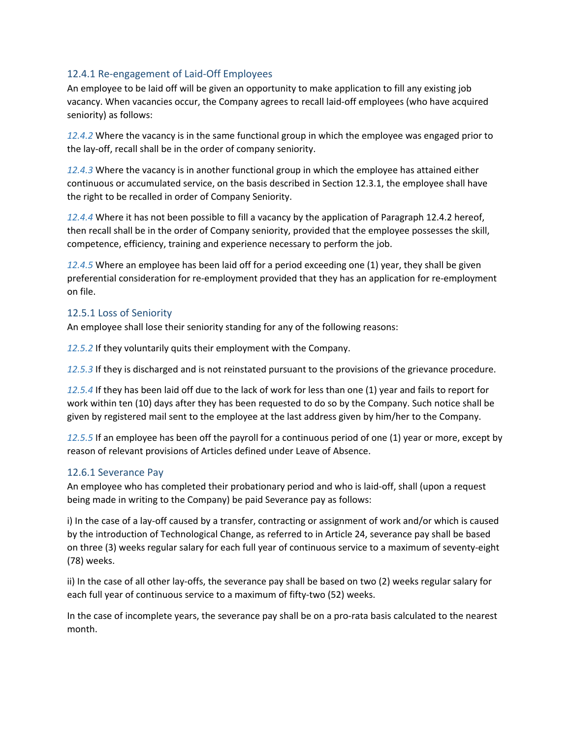#### <span id="page-30-0"></span>12.4.1 Re-engagement of Laid-Off Employees

An employee to be laid off will be given an opportunity to make application to fill any existing job vacancy. When vacancies occur, the Company agrees to recall laid-off employees (who have acquired seniority) as follows:

*12.4.2* Where the vacancy is in the same functional group in which the employee was engaged prior to the lay-off, recall shall be in the order of company seniority.

*12.4.3* Where the vacancy is in another functional group in which the employee has attained either continuous or accumulated service, on the basis described in Section 12.3.1, the employee shall have the right to be recalled in order of Company Seniority.

*12.4.4* Where it has not been possible to fill a vacancy by the application of Paragraph 12.4.2 hereof, then recall shall be in the order of Company seniority, provided that the employee possesses the skill, competence, efficiency, training and experience necessary to perform the job.

*12.4.5* Where an employee has been laid off for a period exceeding one (1) year, they shall be given preferential consideration for re-employment provided that they has an application for re-employment on file.

### <span id="page-30-1"></span>12.5.1 Loss of Seniority

An employee shall lose their seniority standing for any of the following reasons:

*12.5.2* If they voluntarily quits their employment with the Company.

*12.5.3* If they is discharged and is not reinstated pursuant to the provisions of the grievance procedure.

*12.5.4* If they has been laid off due to the lack of work for less than one (1) year and fails to report for work within ten (10) days after they has been requested to do so by the Company. Such notice shall be given by registered mail sent to the employee at the last address given by him/her to the Company.

*12.5.5* If an employee has been off the payroll for a continuous period of one (1) year or more, except by reason of relevant provisions of Articles defined under Leave of Absence.

#### <span id="page-30-2"></span>12.6.1 Severance Pay

An employee who has completed their probationary period and who is laid-off, shall (upon a request being made in writing to the Company) be paid Severance pay as follows:

i) In the case of a lay-off caused by a transfer, contracting or assignment of work and/or which is caused by the introduction of Technological Change, as referred to in Article 24, severance pay shall be based on three (3) weeks regular salary for each full year of continuous service to a maximum of seventy-eight (78) weeks.

ii) In the case of all other lay-offs, the severance pay shall be based on two (2) weeks regular salary for each full year of continuous service to a maximum of fifty-two (52) weeks.

In the case of incomplete years, the severance pay shall be on a pro-rata basis calculated to the nearest month.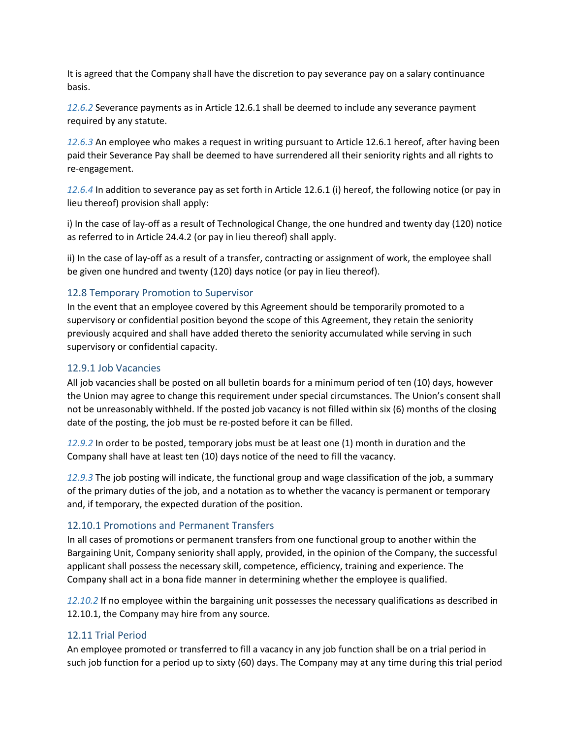It is agreed that the Company shall have the discretion to pay severance pay on a salary continuance basis.

*12.6.2* Severance payments as in Article 12.6.1 shall be deemed to include any severance payment required by any statute.

*12.6.3* An employee who makes a request in writing pursuant to Article 12.6.1 hereof, after having been paid their Severance Pay shall be deemed to have surrendered all their seniority rights and all rights to re-engagement.

*12.6.4* In addition to severance pay as set forth in Article 12.6.1 (i) hereof, the following notice (or pay in lieu thereof) provision shall apply:

i) In the case of lay-off as a result of Technological Change, the one hundred and twenty day (120) notice as referred to in Article 24.4.2 (or pay in lieu thereof) shall apply.

ii) In the case of lay-off as a result of a transfer, contracting or assignment of work, the employee shall be given one hundred and twenty (120) days notice (or pay in lieu thereof).

#### <span id="page-31-0"></span>12.8 Temporary Promotion to Supervisor

In the event that an employee covered by this Agreement should be temporarily promoted to a supervisory or confidential position beyond the scope of this Agreement, they retain the seniority previously acquired and shall have added thereto the seniority accumulated while serving in such supervisory or confidential capacity.

#### <span id="page-31-1"></span>12.9.1 Job Vacancies

All job vacancies shall be posted on all bulletin boards for a minimum period of ten (10) days, however the Union may agree to change this requirement under special circumstances. The Union's consent shall not be unreasonably withheld. If the posted job vacancy is not filled within six (6) months of the closing date of the posting, the job must be re-posted before it can be filled.

*12.9.2* In order to be posted, temporary jobs must be at least one (1) month in duration and the Company shall have at least ten (10) days notice of the need to fill the vacancy.

*12.9.3* The job posting will indicate, the functional group and wage classification of the job, a summary of the primary duties of the job, and a notation as to whether the vacancy is permanent or temporary and, if temporary, the expected duration of the position.

#### <span id="page-31-2"></span>12.10.1 Promotions and Permanent Transfers

In all cases of promotions or permanent transfers from one functional group to another within the Bargaining Unit, Company seniority shall apply, provided, in the opinion of the Company, the successful applicant shall possess the necessary skill, competence, efficiency, training and experience. The Company shall act in a bona fide manner in determining whether the employee is qualified.

*12.10.2* If no employee within the bargaining unit possesses the necessary qualifications as described in 12.10.1, the Company may hire from any source.

#### <span id="page-31-3"></span>12.11 Trial Period

An employee promoted or transferred to fill a vacancy in any job function shall be on a trial period in such job function for a period up to sixty (60) days. The Company may at any time during this trial period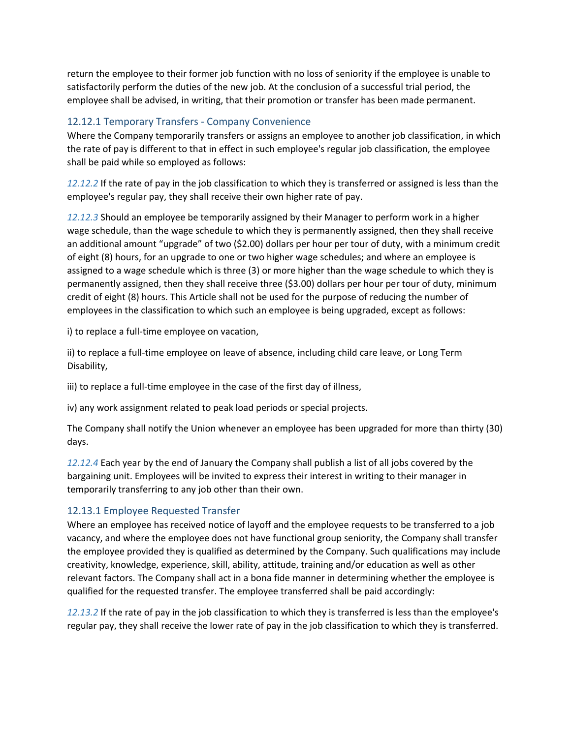return the employee to their former job function with no loss of seniority if the employee is unable to satisfactorily perform the duties of the new job. At the conclusion of a successful trial period, the employee shall be advised, in writing, that their promotion or transfer has been made permanent.

#### <span id="page-32-0"></span>12.12.1 Temporary Transfers - Company Convenience

Where the Company temporarily transfers or assigns an employee to another job classification, in which the rate of pay is different to that in effect in such employee's regular job classification, the employee shall be paid while so employed as follows:

*12.12.2* If the rate of pay in the job classification to which they is transferred or assigned is less than the employee's regular pay, they shall receive their own higher rate of pay.

*12.12.3* Should an employee be temporarily assigned by their Manager to perform work in a higher wage schedule, than the wage schedule to which they is permanently assigned, then they shall receive an additional amount "upgrade" of two (\$2.00) dollars per hour per tour of duty, with a minimum credit of eight (8) hours, for an upgrade to one or two higher wage schedules; and where an employee is assigned to a wage schedule which is three (3) or more higher than the wage schedule to which they is permanently assigned, then they shall receive three (\$3.00) dollars per hour per tour of duty, minimum credit of eight (8) hours. This Article shall not be used for the purpose of reducing the number of employees in the classification to which such an employee is being upgraded, except as follows:

i) to replace a full-time employee on vacation,

ii) to replace a full-time employee on leave of absence, including child care leave, or Long Term Disability,

iii) to replace a full-time employee in the case of the first day of illness,

iv) any work assignment related to peak load periods or special projects.

The Company shall notify the Union whenever an employee has been upgraded for more than thirty (30) days.

*12.12.4* Each year by the end of January the Company shall publish a list of all jobs covered by the bargaining unit. Employees will be invited to express their interest in writing to their manager in temporarily transferring to any job other than their own.

#### <span id="page-32-1"></span>12.13.1 Employee Requested Transfer

Where an employee has received notice of layoff and the employee requests to be transferred to a job vacancy, and where the employee does not have functional group seniority, the Company shall transfer the employee provided they is qualified as determined by the Company. Such qualifications may include creativity, knowledge, experience, skill, ability, attitude, training and/or education as well as other relevant factors. The Company shall act in a bona fide manner in determining whether the employee is qualified for the requested transfer. The employee transferred shall be paid accordingly:

*12.13.2* If the rate of pay in the job classification to which they is transferred is less than the employee's regular pay, they shall receive the lower rate of pay in the job classification to which they is transferred.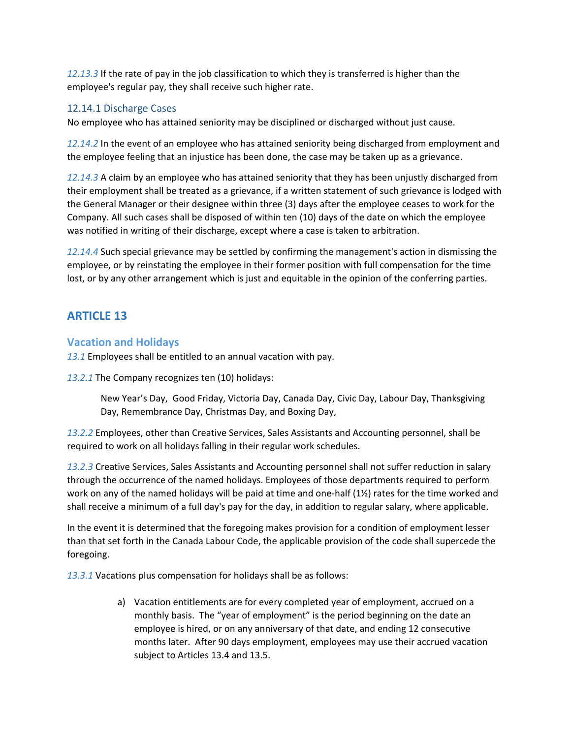*12.13.3* If the rate of pay in the job classification to which they is transferred is higher than the employee's regular pay, they shall receive such higher rate.

### <span id="page-33-0"></span>12.14.1 Discharge Cases

No employee who has attained seniority may be disciplined or discharged without just cause.

*12.14.2* In the event of an employee who has attained seniority being discharged from employment and the employee feeling that an injustice has been done, the case may be taken up as a grievance.

*12.14.3* A claim by an employee who has attained seniority that they has been unjustly discharged from their employment shall be treated as a grievance, if a written statement of such grievance is lodged with the General Manager or their designee within three (3) days after the employee ceases to work for the Company. All such cases shall be disposed of within ten (10) days of the date on which the employee was notified in writing of their discharge, except where a case is taken to arbitration.

*12.14.4* Such special grievance may be settled by confirming the management's action in dismissing the employee, or by reinstating the employee in their former position with full compensation for the time lost, or by any other arrangement which is just and equitable in the opinion of the conferring parties.

# <span id="page-33-1"></span>**ARTICLE 13**

### <span id="page-33-2"></span>**Vacation and Holidays**

*13.1* Employees shall be entitled to an annual vacation with pay.

*13.2.1* The Company recognizes ten (10) holidays:

New Year's Day, Good Friday, Victoria Day, Canada Day, Civic Day, Labour Day, Thanksgiving Day, Remembrance Day, Christmas Day, and Boxing Day,

*13.2.2* Employees, other than Creative Services, Sales Assistants and Accounting personnel, shall be required to work on all holidays falling in their regular work schedules.

*13.2.3* Creative Services, Sales Assistants and Accounting personnel shall not suffer reduction in salary through the occurrence of the named holidays. Employees of those departments required to perform work on any of the named holidays will be paid at time and one-half  $(1/2)$  rates for the time worked and shall receive a minimum of a full day's pay for the day, in addition to regular salary, where applicable.

In the event it is determined that the foregoing makes provision for a condition of employment lesser than that set forth in the Canada Labour Code, the applicable provision of the code shall supercede the foregoing.

*13.3.1* Vacations plus compensation for holidays shall be as follows:

a) Vacation entitlements are for every completed year of employment, accrued on a monthly basis. The "year of employment" is the period beginning on the date an employee is hired, or on any anniversary of that date, and ending 12 consecutive months later. After 90 days employment, employees may use their accrued vacation subject to Articles 13.4 and 13.5.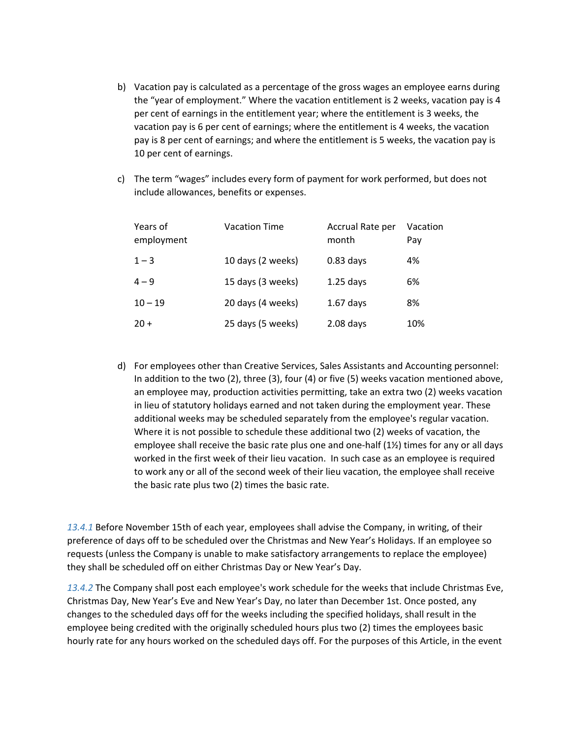- b) Vacation pay is calculated as a percentage of the gross wages an employee earns during the "year of employment." Where the vacation entitlement is 2 weeks, vacation pay is 4 per cent of earnings in the entitlement year; where the entitlement is 3 weeks, the vacation pay is 6 per cent of earnings; where the entitlement is 4 weeks, the vacation pay is 8 per cent of earnings; and where the entitlement is 5 weeks, the vacation pay is 10 per cent of earnings.
- c) The term "wages" includes every form of payment for work performed, but does not include allowances, benefits or expenses.

| Years of<br>employment | <b>Vacation Time</b> | Accrual Rate per<br>month | Vacation<br>Pay |
|------------------------|----------------------|---------------------------|-----------------|
| $1 - 3$                | 10 days (2 weeks)    | $0.83$ days               | 4%              |
| $4 - 9$                | 15 days (3 weeks)    | $1.25$ days               | 6%              |
| $10 - 19$              | 20 days (4 weeks)    | $1.67$ days               | 8%              |
| $20 +$                 | 25 days (5 weeks)    | $2.08$ days               | 10%             |

d) For employees other than Creative Services, Sales Assistants and Accounting personnel: In addition to the two (2), three (3), four (4) or five (5) weeks vacation mentioned above, an employee may, production activities permitting, take an extra two (2) weeks vacation in lieu of statutory holidays earned and not taken during the employment year. These additional weeks may be scheduled separately from the employee's regular vacation. Where it is not possible to schedule these additional two (2) weeks of vacation, the employee shall receive the basic rate plus one and one-half (1½) times for any or all days worked in the first week of their lieu vacation. In such case as an employee is required to work any or all of the second week of their lieu vacation, the employee shall receive the basic rate plus two (2) times the basic rate.

*13.4.1* Before November 15th of each year, employees shall advise the Company, in writing, of their preference of days off to be scheduled over the Christmas and New Year's Holidays. If an employee so requests (unless the Company is unable to make satisfactory arrangements to replace the employee) they shall be scheduled off on either Christmas Day or New Year's Day.

*13.4.2* The Company shall post each employee's work schedule for the weeks that include Christmas Eve, Christmas Day, New Year's Eve and New Year's Day, no later than December 1st. Once posted, any changes to the scheduled days off for the weeks including the specified holidays, shall result in the employee being credited with the originally scheduled hours plus two (2) times the employees basic hourly rate for any hours worked on the scheduled days off. For the purposes of this Article, in the event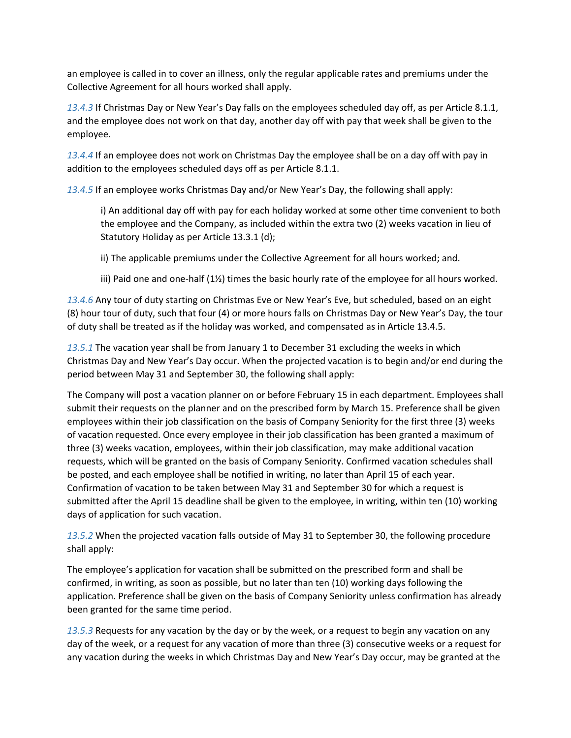an employee is called in to cover an illness, only the regular applicable rates and premiums under the Collective Agreement for all hours worked shall apply.

*13.4.3* If Christmas Day or New Year's Day falls on the employees scheduled day off, as per Article 8.1.1, and the employee does not work on that day, another day off with pay that week shall be given to the employee.

*13.4.4* If an employee does not work on Christmas Day the employee shall be on a day off with pay in addition to the employees scheduled days off as per Article 8.1.1.

*13.4.5* If an employee works Christmas Day and/or New Year's Day, the following shall apply:

i) An additional day off with pay for each holiday worked at some other time convenient to both the employee and the Company, as included within the extra two (2) weeks vacation in lieu of Statutory Holiday as per Article 13.3.1 (d);

ii) The applicable premiums under the Collective Agreement for all hours worked; and.

iii) Paid one and one-half (1½) times the basic hourly rate of the employee for all hours worked.

*13.4.6* Any tour of duty starting on Christmas Eve or New Year's Eve, but scheduled, based on an eight (8) hour tour of duty, such that four (4) or more hours falls on Christmas Day or New Year's Day, the tour of duty shall be treated as if the holiday was worked, and compensated as in Article 13.4.5.

*13.5.1* The vacation year shall be from January 1 to December 31 excluding the weeks in which Christmas Day and New Year's Day occur. When the projected vacation is to begin and/or end during the period between May 31 and September 30, the following shall apply:

The Company will post a vacation planner on or before February 15 in each department. Employees shall submit their requests on the planner and on the prescribed form by March 15. Preference shall be given employees within their job classification on the basis of Company Seniority for the first three (3) weeks of vacation requested. Once every employee in their job classification has been granted a maximum of three (3) weeks vacation, employees, within their job classification, may make additional vacation requests, which will be granted on the basis of Company Seniority. Confirmed vacation schedules shall be posted, and each employee shall be notified in writing, no later than April 15 of each year. Confirmation of vacation to be taken between May 31 and September 30 for which a request is submitted after the April 15 deadline shall be given to the employee, in writing, within ten (10) working days of application for such vacation.

*13.5.2* When the projected vacation falls outside of May 31 to September 30, the following procedure shall apply:

The employee's application for vacation shall be submitted on the prescribed form and shall be confirmed, in writing, as soon as possible, but no later than ten (10) working days following the application. Preference shall be given on the basis of Company Seniority unless confirmation has already been granted for the same time period.

*13.5.3* Requests for any vacation by the day or by the week, or a request to begin any vacation on any day of the week, or a request for any vacation of more than three (3) consecutive weeks or a request for any vacation during the weeks in which Christmas Day and New Year's Day occur, may be granted at the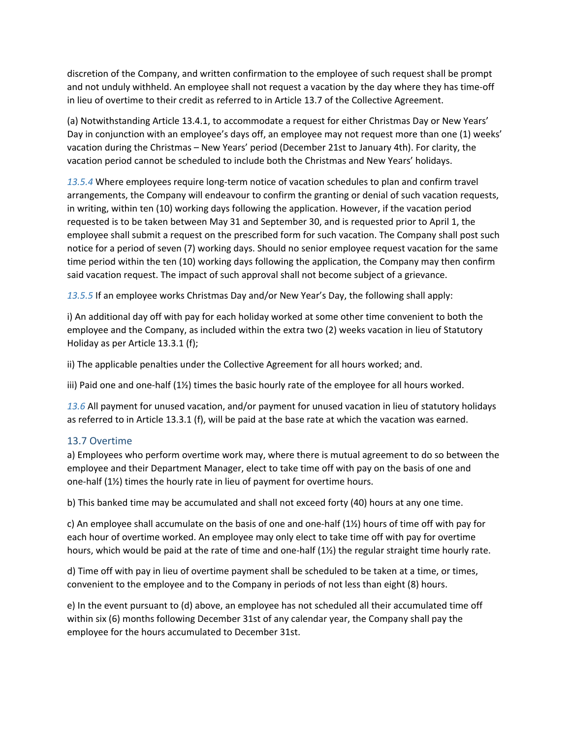discretion of the Company, and written confirmation to the employee of such request shall be prompt and not unduly withheld. An employee shall not request a vacation by the day where they has time-off in lieu of overtime to their credit as referred to in Article 13.7 of the Collective Agreement.

(a) Notwithstanding Article 13.4.1, to accommodate a request for either Christmas Day or New Years' Day in conjunction with an employee's days off, an employee may not request more than one (1) weeks' vacation during the Christmas – New Years' period (December 21st to January 4th). For clarity, the vacation period cannot be scheduled to include both the Christmas and New Years' holidays.

*13.5.4* Where employees require long-term notice of vacation schedules to plan and confirm travel arrangements, the Company will endeavour to confirm the granting or denial of such vacation requests, in writing, within ten (10) working days following the application. However, if the vacation period requested is to be taken between May 31 and September 30, and is requested prior to April 1, the employee shall submit a request on the prescribed form for such vacation. The Company shall post such notice for a period of seven (7) working days. Should no senior employee request vacation for the same time period within the ten (10) working days following the application, the Company may then confirm said vacation request. The impact of such approval shall not become subject of a grievance.

*13.5.5* If an employee works Christmas Day and/or New Year's Day, the following shall apply:

i) An additional day off with pay for each holiday worked at some other time convenient to both the employee and the Company, as included within the extra two (2) weeks vacation in lieu of Statutory Holiday as per Article 13.3.1 (f);

ii) The applicable penalties under the Collective Agreement for all hours worked; and.

iii) Paid one and one-half (1½) times the basic hourly rate of the employee for all hours worked.

*13.6* All payment for unused vacation, and/or payment for unused vacation in lieu of statutory holidays as referred to in Article 13.3.1 (f), will be paid at the base rate at which the vacation was earned.

#### <span id="page-36-0"></span>13.7 Overtime

a) Employees who perform overtime work may, where there is mutual agreement to do so between the employee and their Department Manager, elect to take time off with pay on the basis of one and one-half (1½) times the hourly rate in lieu of payment for overtime hours.

b) This banked time may be accumulated and shall not exceed forty (40) hours at any one time.

c) An employee shall accumulate on the basis of one and one-half (1½) hours of time off with pay for each hour of overtime worked. An employee may only elect to take time off with pay for overtime hours, which would be paid at the rate of time and one-half (1½) the regular straight time hourly rate.

d) Time off with pay in lieu of overtime payment shall be scheduled to be taken at a time, or times, convenient to the employee and to the Company in periods of not less than eight (8) hours.

e) In the event pursuant to (d) above, an employee has not scheduled all their accumulated time off within six (6) months following December 31st of any calendar year, the Company shall pay the employee for the hours accumulated to December 31st.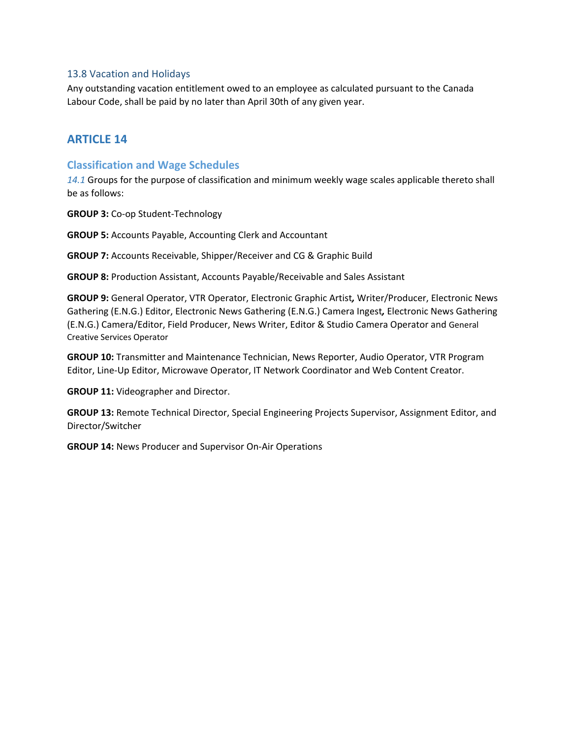#### <span id="page-37-0"></span>13.8 Vacation and Holidays

Any outstanding vacation entitlement owed to an employee as calculated pursuant to the Canada Labour Code, shall be paid by no later than April 30th of any given year.

# <span id="page-37-1"></span>**ARTICLE 14**

#### <span id="page-37-2"></span>**Classification and Wage Schedules**

*14.1* Groups for the purpose of classification and minimum weekly wage scales applicable thereto shall be as follows:

**GROUP 3:** Co-op Student-Technology

**GROUP 5:** Accounts Payable, Accounting Clerk and Accountant

**GROUP 7:** Accounts Receivable, Shipper/Receiver and CG & Graphic Build

**GROUP 8:** Production Assistant, Accounts Payable/Receivable and Sales Assistant

**GROUP 9:** General Operator, VTR Operator, Electronic Graphic Artist*,* Writer/Producer, Electronic News Gathering (E.N.G.) Editor, Electronic News Gathering (E.N.G.) Camera Ingest*,* Electronic News Gathering (E.N.G.) Camera/Editor, Field Producer, News Writer, Editor & Studio Camera Operator and General Creative Services Operator

**GROUP 10:** Transmitter and Maintenance Technician, News Reporter, Audio Operator, VTR Program Editor, Line-Up Editor, Microwave Operator, IT Network Coordinator and Web Content Creator.

**GROUP 11:** Videographer and Director.

**GROUP 13:** Remote Technical Director, Special Engineering Projects Supervisor, Assignment Editor, and Director/Switcher

**GROUP 14:** News Producer and Supervisor On-Air Operations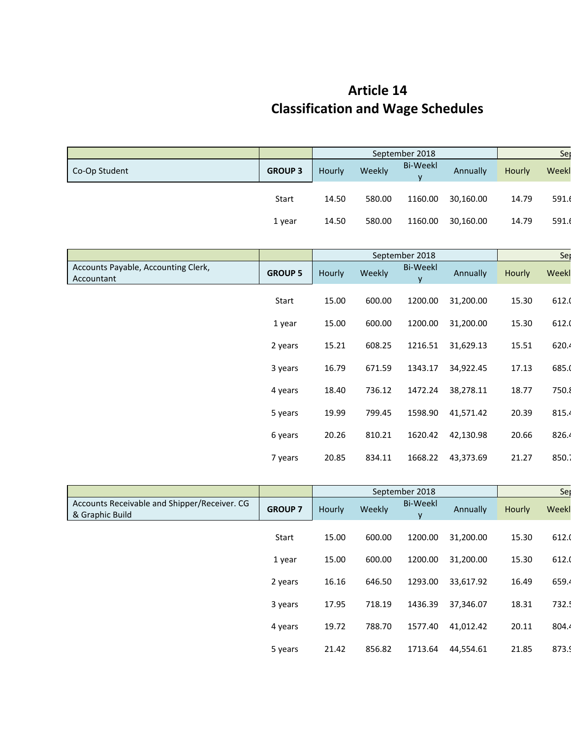# **Article 14 Classification and Wage Schedules**

|                                                   |                |        |        | September 2018                     |           |        |       |  |
|---------------------------------------------------|----------------|--------|--------|------------------------------------|-----------|--------|-------|--|
| Co-Op Student                                     | <b>GROUP 3</b> | Hourly | Weekly | <b>Bi-Weekl</b><br><b>V</b>        | Annually  | Hourly | Weekl |  |
|                                                   | Start          | 14.50  | 580.00 | 1160.00                            | 30,160.00 | 14.79  | 591.6 |  |
|                                                   | 1 year         | 14.50  | 580.00 | 1160.00                            | 30,160.00 | 14.79  | 591.6 |  |
|                                                   |                |        |        |                                    |           |        |       |  |
|                                                   |                |        |        | September 2018                     |           |        | Ser   |  |
| Accounts Payable, Accounting Clerk,<br>Accountant | <b>GROUP 5</b> | Hourly | Weekly | <b>Bi-Weekl</b><br><b>V</b>        | Annually  | Hourly | Weekl |  |
|                                                   |                |        |        |                                    |           |        |       |  |
|                                                   | Start          | 15.00  | 600.00 | 1200.00                            | 31,200.00 | 15.30  | 612.0 |  |
|                                                   | 1 year         | 15.00  | 600.00 | 1200.00                            | 31,200.00 | 15.30  | 612.0 |  |
|                                                   | 2 years        | 15.21  | 608.25 | 1216.51                            | 31,629.13 | 15.51  | 620.4 |  |
|                                                   | 3 years        | 16.79  | 671.59 | 1343.17                            | 34,922.45 | 17.13  | 685.0 |  |
|                                                   | 4 years        | 18.40  | 736.12 | 1472.24                            | 38,278.11 | 18.77  | 750.8 |  |
|                                                   | 5 years        | 19.99  | 799.45 | 1598.90                            | 41,571.42 | 20.39  | 815.4 |  |
|                                                   | 6 years        | 20.26  | 810.21 | 1620.42                            | 42,130.98 | 20.66  | 826.4 |  |
|                                                   | 7 years        | 20.85  | 834.11 | 1668.22                            | 43,373.69 | 21.27  | 850.1 |  |
|                                                   |                |        |        | $\sim$ $\sim$ $\sim$ $\sim$ $\sim$ |           |        |       |  |

|                                                                 |                |        |        | September 2018       |           |        | Ser   |
|-----------------------------------------------------------------|----------------|--------|--------|----------------------|-----------|--------|-------|
| Accounts Receivable and Shipper/Receiver. CG<br>& Graphic Build | <b>GROUP 7</b> | Hourly | Weekly | <b>Bi-Weekl</b><br>۷ | Annually  | Hourly | Weekl |
|                                                                 | Start          | 15.00  | 600.00 | 1200.00              | 31,200.00 | 15.30  | 612.0 |
|                                                                 | 1 year         | 15.00  | 600.00 | 1200.00              | 31,200.00 | 15.30  | 612.0 |
|                                                                 | 2 years        | 16.16  | 646.50 | 1293.00              | 33,617.92 | 16.49  | 659.4 |
|                                                                 | 3 years        | 17.95  | 718.19 | 1436.39              | 37,346.07 | 18.31  | 732.  |
|                                                                 | 4 years        | 19.72  | 788.70 | 1577.40              | 41,012.42 | 20.11  | 804.4 |
|                                                                 | 5 years        | 21.42  | 856.82 | 1713.64              | 44,554.61 | 21.85  | 873.9 |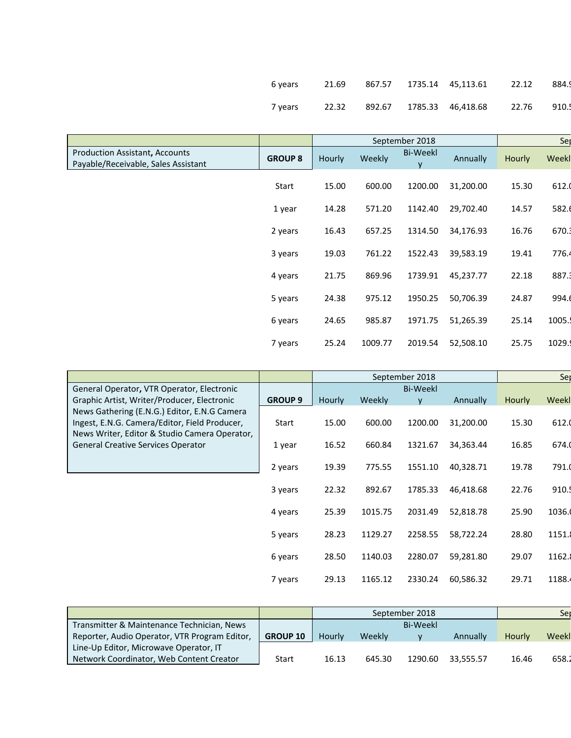| 6 years |  | 21.69 867.57 1735.14 45.113.61 22.12 | 884.9L |
|---------|--|--------------------------------------|--------|
| 7 years |  | 22.32 892.67 1785.33 46,418.68 22.76 | 910.5  |

|                                                                              |                |        |         | September 2018       |           |        | Ser   |
|------------------------------------------------------------------------------|----------------|--------|---------|----------------------|-----------|--------|-------|
| <b>Production Assistant, Accounts</b><br>Payable/Receivable, Sales Assistant | <b>GROUP 8</b> | Hourly | Weekly  | <b>Bi-Weekl</b><br>y | Annually  | Hourly | Weekl |
|                                                                              | Start          | 15.00  | 600.00  | 1200.00              | 31,200.00 | 15.30  | 612.0 |
|                                                                              | 1 year         | 14.28  | 571.20  | 1142.40              | 29,702.40 | 14.57  | 582.6 |
|                                                                              | 2 years        | 16.43  | 657.25  | 1314.50              | 34,176.93 | 16.76  | 670.3 |
|                                                                              | 3 years        | 19.03  | 761.22  | 1522.43              | 39,583.19 | 19.41  | 776.4 |
|                                                                              | 4 years        | 21.75  | 869.96  | 1739.91              | 45,237.77 | 22.18  | 887.3 |
|                                                                              | 5 years        | 24.38  | 975.12  | 1950.25              | 50,706.39 | 24.87  | 994.6 |
|                                                                              | 6 years        | 24.65  | 985.87  | 1971.75              | 51,265.39 | 25.14  | 1005. |
|                                                                              | 7 years        | 25.24  | 1009.77 | 2019.54              | 52,508.10 | 25.75  | 1029. |
|                                                                              |                |        |         |                      |           |        |       |

|                                                                                                                                                                                             |                |        |         | September 2018 |           |               | Ser    |
|---------------------------------------------------------------------------------------------------------------------------------------------------------------------------------------------|----------------|--------|---------|----------------|-----------|---------------|--------|
| General Operator, VTR Operator, Electronic                                                                                                                                                  |                |        |         | Bi-Weekl       |           |               |        |
| Graphic Artist, Writer/Producer, Electronic                                                                                                                                                 | <b>GROUP 9</b> | Hourly | Weekly  | v              | Annually  | <b>Hourly</b> | Weekl  |
| News Gathering (E.N.G.) Editor, E.N.G Camera<br>Ingest, E.N.G. Camera/Editor, Field Producer,<br>News Writer, Editor & Studio Camera Operator,<br><b>General Creative Services Operator</b> | Start          | 15.00  | 600.00  | 1200.00        | 31,200.00 | 15.30         | 612.0  |
|                                                                                                                                                                                             | 1 year         | 16.52  | 660.84  | 1321.67        | 34,363.44 | 16.85         | 674.0  |
|                                                                                                                                                                                             | 2 years        | 19.39  | 775.55  | 1551.10        | 40,328.71 | 19.78         | 791.0  |
|                                                                                                                                                                                             | 3 years        | 22.32  | 892.67  | 1785.33        | 46,418.68 | 22.76         | 910.   |
|                                                                                                                                                                                             | 4 years        | 25.39  | 1015.75 | 2031.49        | 52,818.78 | 25.90         | 1036.  |
|                                                                                                                                                                                             | 5 years        | 28.23  | 1129.27 | 2258.55        | 58,722.24 | 28.80         | 1151.  |
|                                                                                                                                                                                             | 6 years        | 28.50  | 1140.03 | 2280.07        | 59,281.80 | 29.07         | 1162.  |
|                                                                                                                                                                                             | 7 years        | 29.13  | 1165.12 | 2330.24        | 60,586.32 | 29.71         | 1188.4 |

|                                               |                 |        |        | September 2018  |           |        | Sei   |
|-----------------------------------------------|-----------------|--------|--------|-----------------|-----------|--------|-------|
| Transmitter & Maintenance Technician, News    |                 |        |        | <b>Bi-Weekl</b> |           |        |       |
| Reporter, Audio Operator, VTR Program Editor, | <b>GROUP 10</b> | Hourly | Weekly |                 | Annually  | Hourly | Weekl |
| Line-Up Editor, Microwave Operator, IT        |                 |        |        |                 |           |        |       |
| Network Coordinator, Web Content Creator      | Start           | 16.13  | 645.30 | 1290.60         | 33.555.57 | 16.46  | 658.2 |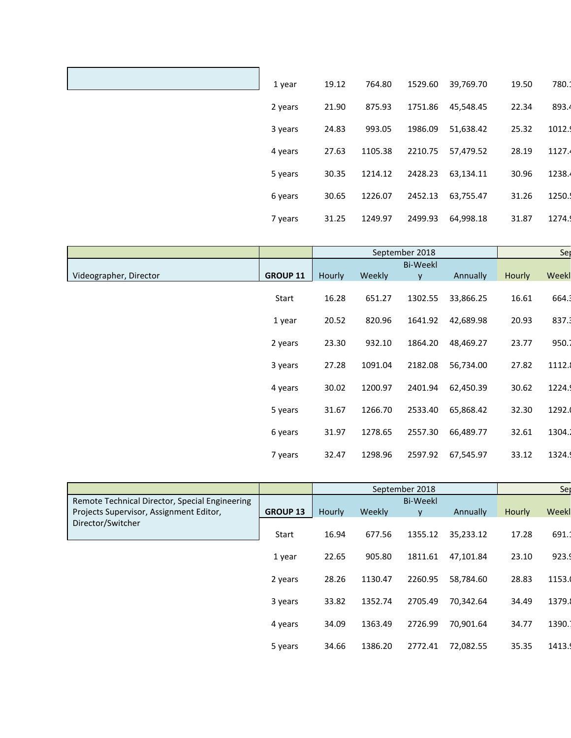| 1 year  | 19.12 | 764.80  | 1529.60 | 39,769.70 | 19.50 | 780.1  |
|---------|-------|---------|---------|-----------|-------|--------|
| 2 years | 21.90 | 875.93  | 1751.86 | 45,548.45 | 22.34 | 893.4  |
| 3 years | 24.83 | 993.05  | 1986.09 | 51,638.42 | 25.32 | 1012.  |
| 4 years | 27.63 | 1105.38 | 2210.75 | 57,479.52 | 28.19 | 1127.  |
| 5 years | 30.35 | 1214.12 | 2428.23 | 63,134.11 | 30.96 | 1238.4 |
| 6 years | 30.65 | 1226.07 | 2452.13 | 63,755.47 | 31.26 | 1250.  |
| 7 years | 31.25 | 1249.97 | 2499.93 | 64,998.18 | 31.87 | 1274.  |

|                        |                 |        |         | September 2018  |           |        | Se    |
|------------------------|-----------------|--------|---------|-----------------|-----------|--------|-------|
|                        |                 |        |         | <b>Bi-Weekl</b> |           |        |       |
| Videographer, Director | <b>GROUP 11</b> | Hourly | Weekly  | v               | Annually  | Hourly | Weekl |
|                        | Start           | 16.28  | 651.27  | 1302.55         | 33,866.25 | 16.61  | 664.3 |
|                        | 1 year          | 20.52  | 820.96  | 1641.92         | 42,689.98 | 20.93  | 837.3 |
|                        | 2 years         | 23.30  | 932.10  | 1864.20         | 48,469.27 | 23.77  | 950.1 |
|                        | 3 years         | 27.28  | 1091.04 | 2182.08         | 56,734.00 | 27.82  | 1112. |
|                        | 4 years         | 30.02  | 1200.97 | 2401.94         | 62,450.39 | 30.62  | 1224. |
|                        | 5 years         | 31.67  | 1266.70 | 2533.40         | 65,868.42 | 32.30  | 1292. |
|                        | 6 years         | 31.97  | 1278.65 | 2557.30         | 66,489.77 | 32.61  | 1304. |
|                        | 7 years         | 32.47  | 1298.96 | 2597.92         | 67,545.97 | 33.12  | 1324. |

|                                                |                 |        |         | September 2018  |           | Ser           |       |
|------------------------------------------------|-----------------|--------|---------|-----------------|-----------|---------------|-------|
| Remote Technical Director, Special Engineering |                 |        |         | <b>Bi-Weekl</b> |           |               |       |
| Projects Supervisor, Assignment Editor,        | <b>GROUP 13</b> | Hourly | Weekly  | v               | Annually  | <b>Hourly</b> | Weekl |
| Director/Switcher                              |                 |        |         |                 |           |               |       |
|                                                | Start           | 16.94  | 677.56  | 1355.12         | 35,233.12 | 17.28         | 691.1 |
|                                                | 1 year          | 22.65  | 905.80  | 1811.61         | 47.101.84 | 23.10         | 923.9 |
|                                                | 2 years         | 28.26  | 1130.47 | 2260.95         | 58,784.60 | 28.83         | 1153. |
|                                                | 3 years         | 33.82  | 1352.74 | 2705.49         | 70,342.64 | 34.49         | 1379. |
|                                                | 4 years         | 34.09  | 1363.49 | 2726.99         | 70,901.64 | 34.77         | 1390. |
|                                                | 5 years         | 34.66  | 1386.20 | 2772.41         | 72,082.55 | 35.35         | 1413. |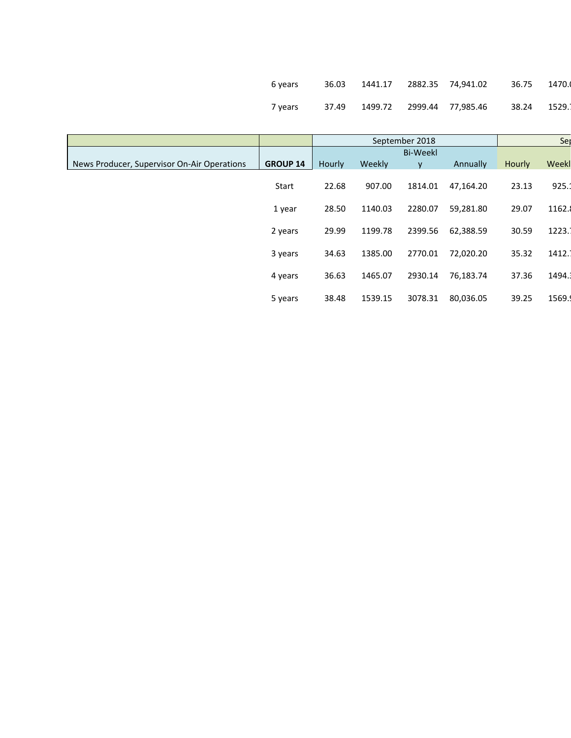| 6 years |  |                                    | 36.75 1470.0  |  |
|---------|--|------------------------------------|---------------|--|
| 7 years |  | 37.49  1499.72  2999.44  77,985.46 | 38.24  1529.1 |  |

|                                             |                 |        |         | September 2018  |           |        | Ser   |
|---------------------------------------------|-----------------|--------|---------|-----------------|-----------|--------|-------|
|                                             |                 |        |         | <b>Bi-Weekl</b> |           |        |       |
| News Producer, Supervisor On-Air Operations | <b>GROUP 14</b> | Hourly | Weekly  | ۷               | Annually  | Hourly | Weekl |
|                                             | Start           | 22.68  | 907.00  | 1814.01         | 47,164.20 | 23.13  | 925.  |
|                                             | 1 year          | 28.50  | 1140.03 | 2280.07         | 59,281.80 | 29.07  | 1162. |
|                                             | 2 years         | 29.99  | 1199.78 | 2399.56         | 62,388.59 | 30.59  | 1223. |
|                                             | 3 years         | 34.63  | 1385.00 | 2770.01         | 72,020.20 | 35.32  | 1412. |
|                                             | 4 years         | 36.63  | 1465.07 | 2930.14         | 76,183.74 | 37.36  | 1494. |
|                                             | 5 years         | 38.48  | 1539.15 | 3078.31         | 80,036.05 | 39.25  | 1569. |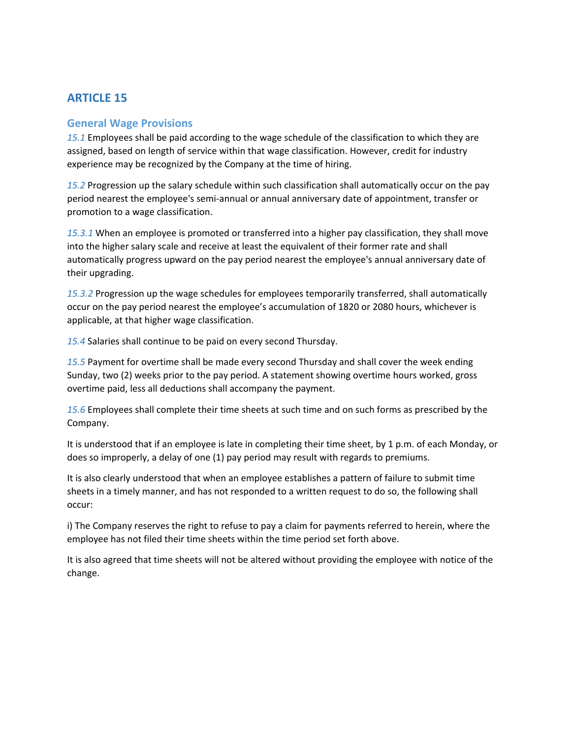# <span id="page-42-0"></span>**ARTICLE 15**

#### <span id="page-42-1"></span>**General Wage Provisions**

*15.1* Employees shall be paid according to the wage schedule of the classification to which they are assigned, based on length of service within that wage classification. However, credit for industry experience may be recognized by the Company at the time of hiring.

*15.2* Progression up the salary schedule within such classification shall automatically occur on the pay period nearest the employee's semi-annual or annual anniversary date of appointment, transfer or promotion to a wage classification.

*15.3.1* When an employee is promoted or transferred into a higher pay classification, they shall move into the higher salary scale and receive at least the equivalent of their former rate and shall automatically progress upward on the pay period nearest the employee's annual anniversary date of their upgrading.

*15.3.2* Progression up the wage schedules for employees temporarily transferred, shall automatically occur on the pay period nearest the employee's accumulation of 1820 or 2080 hours, whichever is applicable, at that higher wage classification.

*15.4* Salaries shall continue to be paid on every second Thursday.

*15.5* Payment for overtime shall be made every second Thursday and shall cover the week ending Sunday, two (2) weeks prior to the pay period. A statement showing overtime hours worked, gross overtime paid, less all deductions shall accompany the payment.

*15.6* Employees shall complete their time sheets at such time and on such forms as prescribed by the Company.

It is understood that if an employee is late in completing their time sheet, by 1 p.m. of each Monday, or does so improperly, a delay of one (1) pay period may result with regards to premiums.

It is also clearly understood that when an employee establishes a pattern of failure to submit time sheets in a timely manner, and has not responded to a written request to do so, the following shall occur:

i) The Company reserves the right to refuse to pay a claim for payments referred to herein, where the employee has not filed their time sheets within the time period set forth above.

It is also agreed that time sheets will not be altered without providing the employee with notice of the change.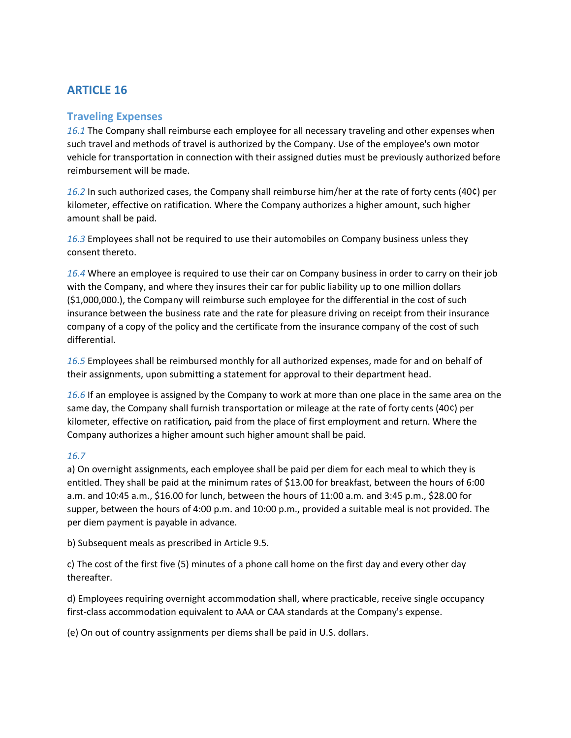# <span id="page-43-0"></span>**ARTICLE 16**

### <span id="page-43-1"></span>**Traveling Expenses**

*16.1* The Company shall reimburse each employee for all necessary traveling and other expenses when such travel and methods of travel is authorized by the Company. Use of the employee's own motor vehicle for transportation in connection with their assigned duties must be previously authorized before reimbursement will be made.

*16.2* In such authorized cases, the Company shall reimburse him/her at the rate of forty cents (40¢) per kilometer, effective on ratification. Where the Company authorizes a higher amount, such higher amount shall be paid.

*16.3* Employees shall not be required to use their automobiles on Company business unless they consent thereto.

*16.4* Where an employee is required to use their car on Company business in order to carry on their job with the Company, and where they insures their car for public liability up to one million dollars (\$1,000,000.), the Company will reimburse such employee for the differential in the cost of such insurance between the business rate and the rate for pleasure driving on receipt from their insurance company of a copy of the policy and the certificate from the insurance company of the cost of such differential.

*16.5* Employees shall be reimbursed monthly for all authorized expenses, made for and on behalf of their assignments, upon submitting a statement for approval to their department head.

*16.6* If an employee is assigned by the Company to work at more than one place in the same area on the same day, the Company shall furnish transportation or mileage at the rate of forty cents (40¢) per kilometer, effective on ratification*,* paid from the place of first employment and return. Where the Company authorizes a higher amount such higher amount shall be paid.

#### *16.7*

a) On overnight assignments, each employee shall be paid per diem for each meal to which they is entitled. They shall be paid at the minimum rates of \$13.00 for breakfast, between the hours of 6:00 a.m. and 10:45 a.m., \$16.00 for lunch, between the hours of 11:00 a.m. and 3:45 p.m., \$28.00 for supper, between the hours of 4:00 p.m. and 10:00 p.m., provided a suitable meal is not provided. The per diem payment is payable in advance.

b) Subsequent meals as prescribed in Article 9.5.

c) The cost of the first five (5) minutes of a phone call home on the first day and every other day thereafter.

d) Employees requiring overnight accommodation shall, where practicable, receive single occupancy first-class accommodation equivalent to AAA or CAA standards at the Company's expense.

(e) On out of country assignments per diems shall be paid in U.S. dollars.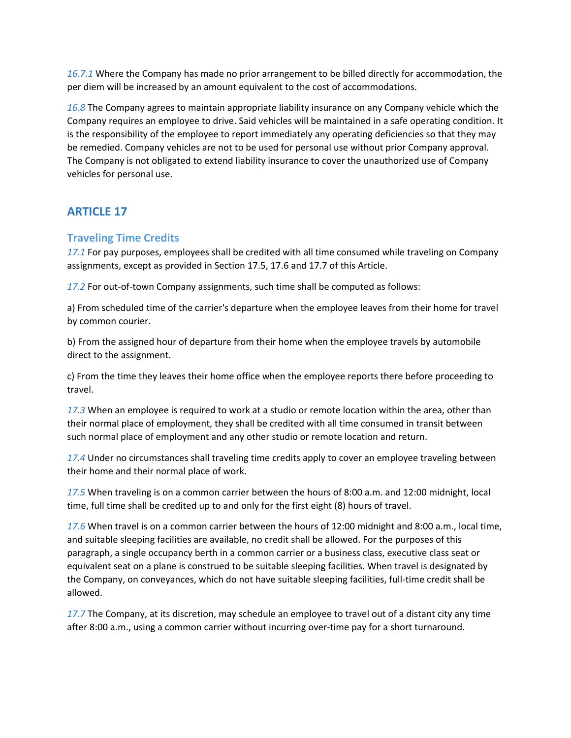*16.7.1* Where the Company has made no prior arrangement to be billed directly for accommodation, the per diem will be increased by an amount equivalent to the cost of accommodations.

*16.8* The Company agrees to maintain appropriate liability insurance on any Company vehicle which the Company requires an employee to drive. Said vehicles will be maintained in a safe operating condition. It is the responsibility of the employee to report immediately any operating deficiencies so that they may be remedied. Company vehicles are not to be used for personal use without prior Company approval. The Company is not obligated to extend liability insurance to cover the unauthorized use of Company vehicles for personal use.

# <span id="page-44-0"></span>**ARTICLE 17**

# <span id="page-44-1"></span>**Traveling Time Credits**

*17.1* For pay purposes, employees shall be credited with all time consumed while traveling on Company assignments, except as provided in Section 17.5, 17.6 and 17.7 of this Article.

*17.2* For out-of-town Company assignments, such time shall be computed as follows:

a) From scheduled time of the carrier's departure when the employee leaves from their home for travel by common courier.

b) From the assigned hour of departure from their home when the employee travels by automobile direct to the assignment.

c) From the time they leaves their home office when the employee reports there before proceeding to travel.

*17.3* When an employee is required to work at a studio or remote location within the area, other than their normal place of employment, they shall be credited with all time consumed in transit between such normal place of employment and any other studio or remote location and return.

*17.4* Under no circumstances shall traveling time credits apply to cover an employee traveling between their home and their normal place of work.

*17.5* When traveling is on a common carrier between the hours of 8:00 a.m. and 12:00 midnight, local time, full time shall be credited up to and only for the first eight (8) hours of travel.

*17.6* When travel is on a common carrier between the hours of 12:00 midnight and 8:00 a.m., local time, and suitable sleeping facilities are available, no credit shall be allowed. For the purposes of this paragraph, a single occupancy berth in a common carrier or a business class, executive class seat or equivalent seat on a plane is construed to be suitable sleeping facilities. When travel is designated by the Company, on conveyances, which do not have suitable sleeping facilities, full-time credit shall be allowed.

*17.7* The Company, at its discretion, may schedule an employee to travel out of a distant city any time after 8:00 a.m., using a common carrier without incurring over-time pay for a short turnaround.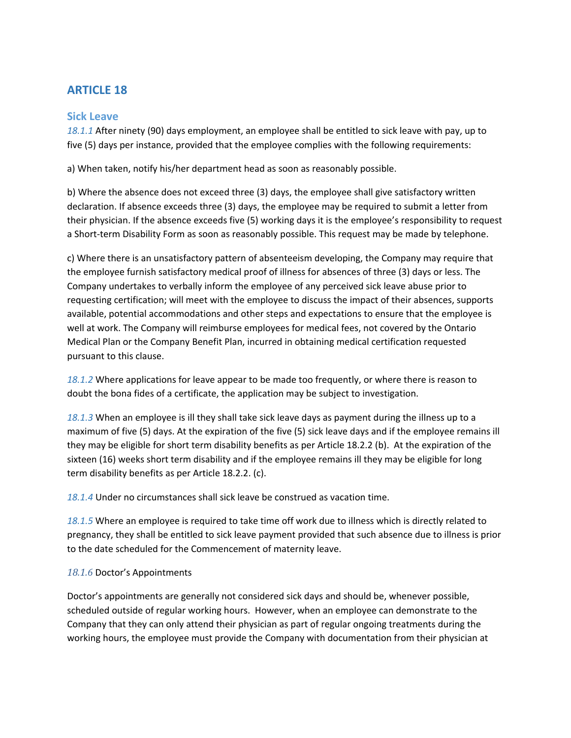# <span id="page-45-0"></span>**ARTICLE 18**

#### <span id="page-45-1"></span>**Sick Leave**

*18.1.1* After ninety (90) days employment, an employee shall be entitled to sick leave with pay, up to five (5) days per instance, provided that the employee complies with the following requirements:

a) When taken, notify his/her department head as soon as reasonably possible.

b) Where the absence does not exceed three (3) days, the employee shall give satisfactory written declaration. If absence exceeds three (3) days, the employee may be required to submit a letter from their physician. If the absence exceeds five (5) working days it is the employee's responsibility to request a Short-term Disability Form as soon as reasonably possible. This request may be made by telephone.

c) Where there is an unsatisfactory pattern of absenteeism developing, the Company may require that the employee furnish satisfactory medical proof of illness for absences of three (3) days or less. The Company undertakes to verbally inform the employee of any perceived sick leave abuse prior to requesting certification; will meet with the employee to discuss the impact of their absences, supports available, potential accommodations and other steps and expectations to ensure that the employee is well at work. The Company will reimburse employees for medical fees, not covered by the Ontario Medical Plan or the Company Benefit Plan, incurred in obtaining medical certification requested pursuant to this clause.

*18.1.2* Where applications for leave appear to be made too frequently, or where there is reason to doubt the bona fides of a certificate, the application may be subject to investigation.

*18.1.3* When an employee is ill they shall take sick leave days as payment during the illness up to a maximum of five (5) days. At the expiration of the five (5) sick leave days and if the employee remains ill they may be eligible for short term disability benefits as per Article 18.2.2 (b). At the expiration of the sixteen (16) weeks short term disability and if the employee remains ill they may be eligible for long term disability benefits as per Article 18.2.2. (c).

*18.1.4* Under no circumstances shall sick leave be construed as vacation time.

*18.1.5* Where an employee is required to take time off work due to illness which is directly related to pregnancy, they shall be entitled to sick leave payment provided that such absence due to illness is prior to the date scheduled for the Commencement of maternity leave.

#### *18.1.6* Doctor's Appointments

Doctor's appointments are generally not considered sick days and should be, whenever possible, scheduled outside of regular working hours. However, when an employee can demonstrate to the Company that they can only attend their physician as part of regular ongoing treatments during the working hours, the employee must provide the Company with documentation from their physician at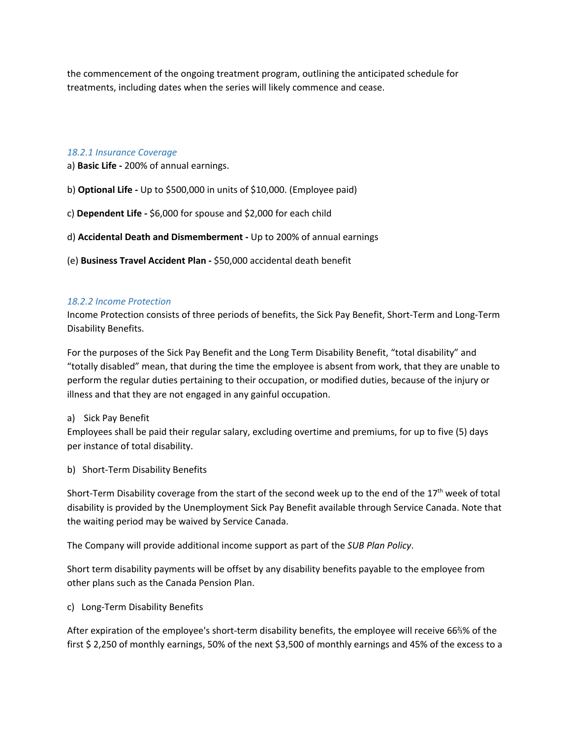the commencement of the ongoing treatment program, outlining the anticipated schedule for treatments, including dates when the series will likely commence and cease.

#### *18.2.1 Insurance Coverage*

- a) **Basic Life -** 200% of annual earnings.
- b) **Optional Life -** Up to \$500,000 in units of \$10,000. (Employee paid)
- c) **Dependent Life -** \$6,000 for spouse and \$2,000 for each child
- d) **Accidental Death and Dismemberment -** Up to 200% of annual earnings
- (e) **Business Travel Accident Plan -** \$50,000 accidental death benefit

#### *18.2.2 Income Protection*

Income Protection consists of three periods of benefits, the Sick Pay Benefit, Short-Term and Long-Term Disability Benefits.

For the purposes of the Sick Pay Benefit and the Long Term Disability Benefit, "total disability" and "totally disabled" mean, that during the time the employee is absent from work, that they are unable to perform the regular duties pertaining to their occupation, or modified duties, because of the injury or illness and that they are not engaged in any gainful occupation.

#### a) Sick Pay Benefit

Employees shall be paid their regular salary, excluding overtime and premiums, for up to five (5) days per instance of total disability.

b) Short-Term Disability Benefits

Short-Term Disability coverage from the start of the second week up to the end of the 17<sup>th</sup> week of total disability is provided by the Unemployment Sick Pay Benefit available through Service Canada. Note that the waiting period may be waived by Service Canada.

The Company will provide additional income support as part of the *SUB Plan Policy*.

Short term disability payments will be offset by any disability benefits payable to the employee from other plans such as the Canada Pension Plan.

c) Long-Term Disability Benefits

After expiration of the employee's short-term disability benefits, the employee will receive 66⅔% of the first \$ 2,250 of monthly earnings, 50% of the next \$3,500 of monthly earnings and 45% of the excess to a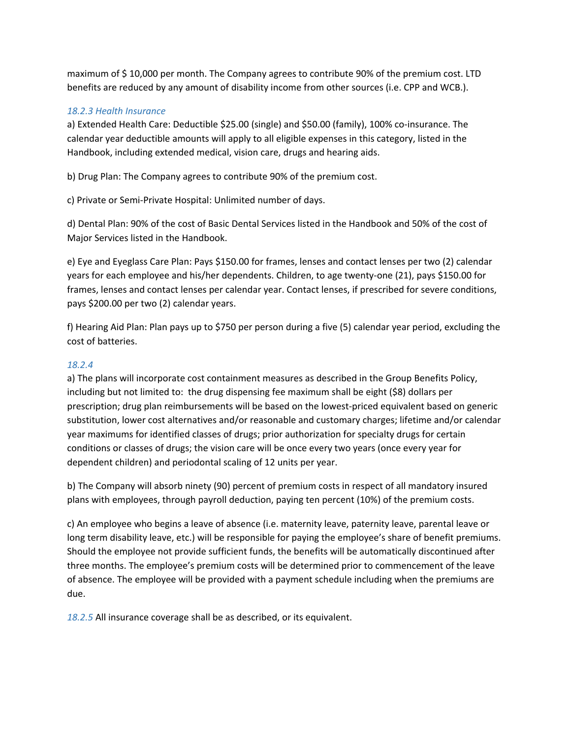maximum of \$ 10,000 per month. The Company agrees to contribute 90% of the premium cost. LTD benefits are reduced by any amount of disability income from other sources (i.e. CPP and WCB.).

#### *18.2.3 Health Insurance*

a) Extended Health Care: Deductible \$25.00 (single) and \$50.00 (family), 100% co-insurance. The calendar year deductible amounts will apply to all eligible expenses in this category, listed in the Handbook, including extended medical, vision care, drugs and hearing aids.

b) Drug Plan: The Company agrees to contribute 90% of the premium cost.

c) Private or Semi-Private Hospital: Unlimited number of days.

d) Dental Plan: 90% of the cost of Basic Dental Services listed in the Handbook and 50% of the cost of Major Services listed in the Handbook.

e) Eye and Eyeglass Care Plan: Pays \$150.00 for frames, lenses and contact lenses per two (2) calendar years for each employee and his/her dependents. Children, to age twenty-one (21), pays \$150.00 for frames, lenses and contact lenses per calendar year. Contact lenses, if prescribed for severe conditions, pays \$200.00 per two (2) calendar years.

f) Hearing Aid Plan: Plan pays up to \$750 per person during a five (5) calendar year period, excluding the cost of batteries.

#### *18.2.4*

a) The plans will incorporate cost containment measures as described in the Group Benefits Policy, including but not limited to: the drug dispensing fee maximum shall be eight (\$8) dollars per prescription; drug plan reimbursements will be based on the lowest-priced equivalent based on generic substitution, lower cost alternatives and/or reasonable and customary charges; lifetime and/or calendar year maximums for identified classes of drugs; prior authorization for specialty drugs for certain conditions or classes of drugs; the vision care will be once every two years (once every year for dependent children) and periodontal scaling of 12 units per year.

b) The Company will absorb ninety (90) percent of premium costs in respect of all mandatory insured plans with employees, through payroll deduction, paying ten percent (10%) of the premium costs.

c) An employee who begins a leave of absence (i.e. maternity leave, paternity leave, parental leave or long term disability leave, etc.) will be responsible for paying the employee's share of benefit premiums. Should the employee not provide sufficient funds, the benefits will be automatically discontinued after three months. The employee's premium costs will be determined prior to commencement of the leave of absence. The employee will be provided with a payment schedule including when the premiums are due.

*18.2.5* All insurance coverage shall be as described, or its equivalent.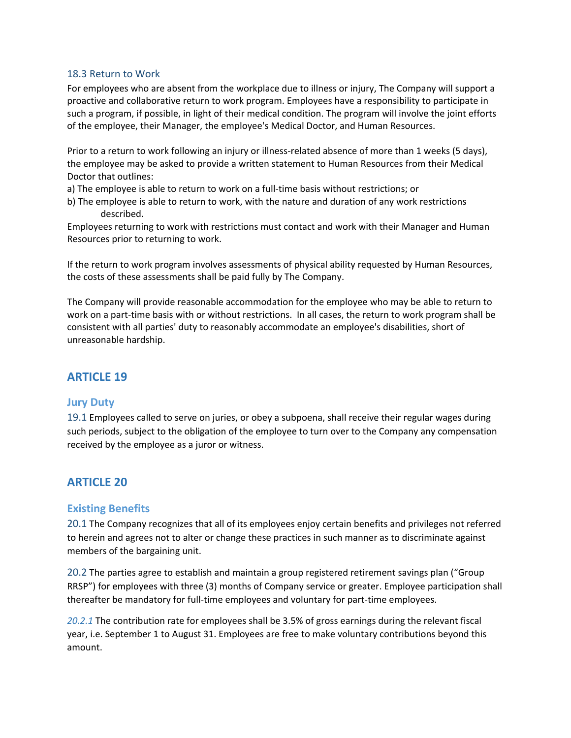#### <span id="page-48-0"></span>18.3 Return to Work

For employees who are absent from the workplace due to illness or injury, The Company will support a proactive and collaborative return to work program. Employees have a responsibility to participate in such a program, if possible, in light of their medical condition. The program will involve the joint efforts of the employee, their Manager, the employee's Medical Doctor, and Human Resources.

Prior to a return to work following an injury or illness-related absence of more than 1 weeks (5 days), the employee may be asked to provide a written statement to Human Resources from their Medical Doctor that outlines:

- a) The employee is able to return to work on a full-time basis without restrictions; or
- b) The employee is able to return to work, with the nature and duration of any work restrictions described.

Employees returning to work with restrictions must contact and work with their Manager and Human Resources prior to returning to work.

If the return to work program involves assessments of physical ability requested by Human Resources, the costs of these assessments shall be paid fully by The Company.

The Company will provide reasonable accommodation for the employee who may be able to return to work on a part-time basis with or without restrictions. In all cases, the return to work program shall be consistent with all parties' duty to reasonably accommodate an employee's disabilities, short of unreasonable hardship.

## <span id="page-48-1"></span>**ARTICLE 19**

#### <span id="page-48-2"></span>**Jury Duty**

<span id="page-48-3"></span>19.1 Employees called to serve on juries, or obey a subpoena, shall receive their regular wages during such periods, subject to the obligation of the employee to turn over to the Company any compensation received by the employee as a juror or witness.

## <span id="page-48-4"></span>**ARTICLE 20**

#### <span id="page-48-5"></span>**Existing Benefits**

<span id="page-48-6"></span>20.1 The Company recognizes that all of its employees enjoy certain benefits and privileges not referred to herein and agrees not to alter or change these practices in such manner as to discriminate against members of the bargaining unit.

<span id="page-48-7"></span>20.2 The parties agree to establish and maintain a group registered retirement savings plan ("Group RRSP") for employees with three (3) months of Company service or greater. Employee participation shall thereafter be mandatory for full-time employees and voluntary for part-time employees.

*20.2.1* The contribution rate for employees shall be 3.5% of gross earnings during the relevant fiscal year, i.e. September 1 to August 31. Employees are free to make voluntary contributions beyond this amount.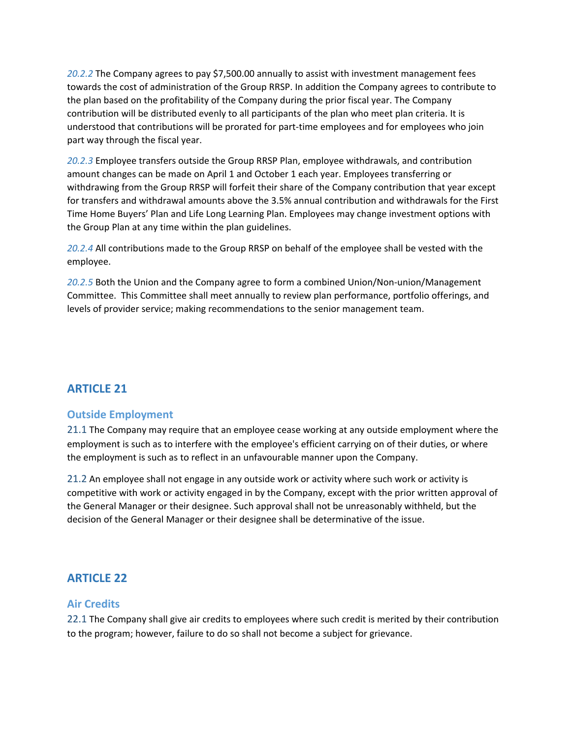*20.2.2* The Company agrees to pay \$7,500.00 annually to assist with investment management fees towards the cost of administration of the Group RRSP. In addition the Company agrees to contribute to the plan based on the profitability of the Company during the prior fiscal year. The Company contribution will be distributed evenly to all participants of the plan who meet plan criteria. It is understood that contributions will be prorated for part-time employees and for employees who join part way through the fiscal year.

*20.2.3* Employee transfers outside the Group RRSP Plan, employee withdrawals, and contribution amount changes can be made on April 1 and October 1 each year. Employees transferring or withdrawing from the Group RRSP will forfeit their share of the Company contribution that year except for transfers and withdrawal amounts above the 3.5% annual contribution and withdrawals for the First Time Home Buyers' Plan and Life Long Learning Plan. Employees may change investment options with the Group Plan at any time within the plan guidelines.

*20.2.4* All contributions made to the Group RRSP on behalf of the employee shall be vested with the employee.

*20.2.5* Both the Union and the Company agree to form a combined Union/Non-union/Management Committee. This Committee shall meet annually to review plan performance, portfolio offerings, and levels of provider service; making recommendations to the senior management team.

# <span id="page-49-0"></span>**ARTICLE 21**

## <span id="page-49-1"></span>**Outside Employment**

<span id="page-49-2"></span>21.1 The Company may require that an employee cease working at any outside employment where the employment is such as to interfere with the employee's efficient carrying on of their duties, or where the employment is such as to reflect in an unfavourable manner upon the Company.

<span id="page-49-3"></span>21.2 An employee shall not engage in any outside work or activity where such work or activity is competitive with work or activity engaged in by the Company, except with the prior written approval of the General Manager or their designee. Such approval shall not be unreasonably withheld, but the decision of the General Manager or their designee shall be determinative of the issue.

# <span id="page-49-4"></span>**ARTICLE 22**

## <span id="page-49-5"></span>**Air Credits**

<span id="page-49-6"></span>22.1 The Company shall give air credits to employees where such credit is merited by their contribution to the program; however, failure to do so shall not become a subject for grievance.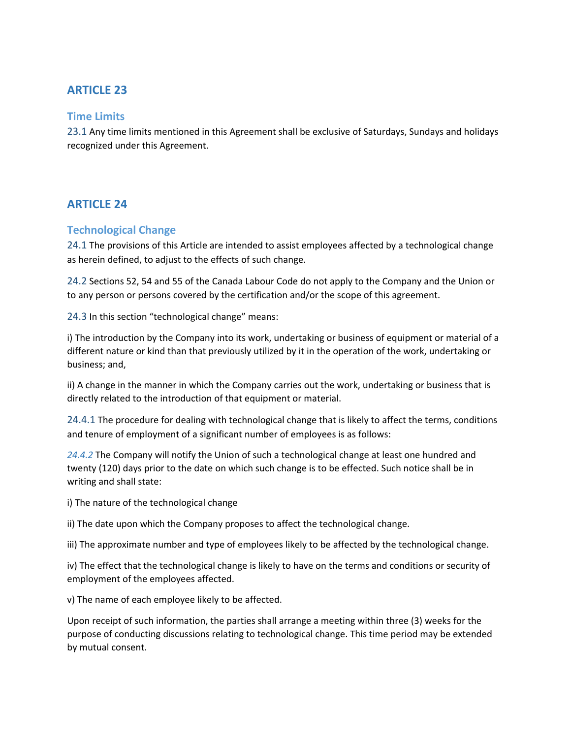# <span id="page-50-0"></span>**ARTICLE 23**

#### <span id="page-50-1"></span>**Time Limits**

<span id="page-50-2"></span>23.1 Any time limits mentioned in this Agreement shall be exclusive of Saturdays, Sundays and holidays recognized under this Agreement.

## <span id="page-50-3"></span>**ARTICLE 24**

#### <span id="page-50-4"></span>**Technological Change**

<span id="page-50-5"></span>24.1 The provisions of this Article are intended to assist employees affected by a technological change as herein defined, to adjust to the effects of such change.

<span id="page-50-6"></span>24.2 Sections 52, 54 and 55 of the Canada Labour Code do not apply to the Company and the Union or to any person or persons covered by the certification and/or the scope of this agreement.

<span id="page-50-7"></span>24.3 In this section "technological change" means:

i) The introduction by the Company into its work, undertaking or business of equipment or material of a different nature or kind than that previously utilized by it in the operation of the work, undertaking or business; and,

ii) A change in the manner in which the Company carries out the work, undertaking or business that is directly related to the introduction of that equipment or material.

<span id="page-50-8"></span>24.4.1 The procedure for dealing with technological change that is likely to affect the terms, conditions and tenure of employment of a significant number of employees is as follows:

*24.4.2* The Company will notify the Union of such a technological change at least one hundred and twenty (120) days prior to the date on which such change is to be effected. Such notice shall be in writing and shall state:

i) The nature of the technological change

ii) The date upon which the Company proposes to affect the technological change.

iii) The approximate number and type of employees likely to be affected by the technological change.

iv) The effect that the technological change is likely to have on the terms and conditions or security of employment of the employees affected.

v) The name of each employee likely to be affected.

Upon receipt of such information, the parties shall arrange a meeting within three (3) weeks for the purpose of conducting discussions relating to technological change. This time period may be extended by mutual consent.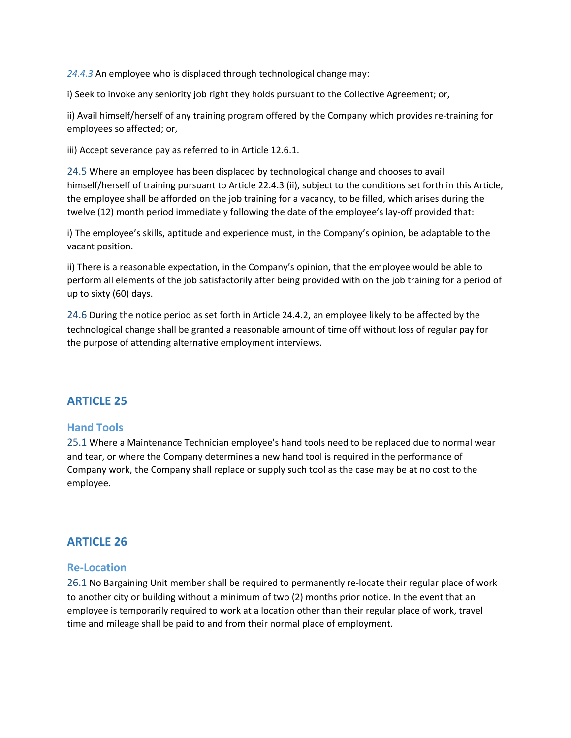*24.4.3* An employee who is displaced through technological change may:

i) Seek to invoke any seniority job right they holds pursuant to the Collective Agreement; or,

ii) Avail himself/herself of any training program offered by the Company which provides re-training for employees so affected; or,

iii) Accept severance pay as referred to in Article 12.6.1.

<span id="page-51-0"></span>24.5 Where an employee has been displaced by technological change and chooses to avail himself/herself of training pursuant to Article 22.4.3 (ii), subject to the conditions set forth in this Article, the employee shall be afforded on the job training for a vacancy, to be filled, which arises during the twelve (12) month period immediately following the date of the employee's lay-off provided that:

i) The employee's skills, aptitude and experience must, in the Company's opinion, be adaptable to the vacant position.

ii) There is a reasonable expectation, in the Company's opinion, that the employee would be able to perform all elements of the job satisfactorily after being provided with on the job training for a period of up to sixty (60) days.

<span id="page-51-1"></span>24.6 During the notice period as set forth in Article 24.4.2, an employee likely to be affected by the technological change shall be granted a reasonable amount of time off without loss of regular pay for the purpose of attending alternative employment interviews.

## <span id="page-51-2"></span>**ARTICLE 25**

#### <span id="page-51-3"></span>**Hand Tools**

<span id="page-51-4"></span>25.1 Where a Maintenance Technician employee's hand tools need to be replaced due to normal wear and tear, or where the Company determines a new hand tool is required in the performance of Company work, the Company shall replace or supply such tool as the case may be at no cost to the employee.

## <span id="page-51-5"></span>**ARTICLE 26**

#### <span id="page-51-6"></span>**Re-Location**

<span id="page-51-7"></span>26.1 No Bargaining Unit member shall be required to permanently re-locate their regular place of work to another city or building without a minimum of two (2) months prior notice. In the event that an employee is temporarily required to work at a location other than their regular place of work, travel time and mileage shall be paid to and from their normal place of employment.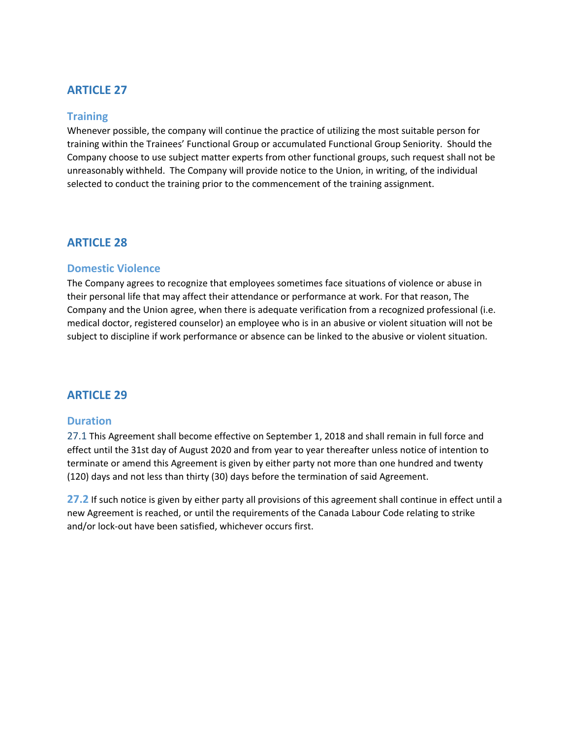# <span id="page-52-0"></span>**ARTICLE 27**

#### <span id="page-52-1"></span>**Training**

Whenever possible, the company will continue the practice of utilizing the most suitable person for training within the Trainees' Functional Group or accumulated Functional Group Seniority. Should the Company choose to use subject matter experts from other functional groups, such request shall not be unreasonably withheld. The Company will provide notice to the Union, in writing, of the individual selected to conduct the training prior to the commencement of the training assignment.

#### <span id="page-52-2"></span>**ARTICLE 28**

#### <span id="page-52-3"></span>**Domestic Violence**

The Company agrees to recognize that employees sometimes face situations of violence or abuse in their personal life that may affect their attendance or performance at work. For that reason, The Company and the Union agree, when there is adequate verification from a recognized professional (i.e. medical doctor, registered counselor) an employee who is in an abusive or violent situation will not be subject to discipline if work performance or absence can be linked to the abusive or violent situation.

## <span id="page-52-4"></span>**ARTICLE 29**

#### <span id="page-52-5"></span>**Duration**

<span id="page-52-6"></span>27.1 This Agreement shall become effective on September 1, 2018 and shall remain in full force and effect until the 31st day of August 2020 and from year to year thereafter unless notice of intention to terminate or amend this Agreement is given by either party not more than one hundred and twenty (120) days and not less than thirty (30) days before the termination of said Agreement.

<span id="page-52-7"></span>**27.2** If such notice is given by either party all provisions of this agreement shall continue in effect until a new Agreement is reached, or until the requirements of the Canada Labour Code relating to strike and/or lock-out have been satisfied, whichever occurs first.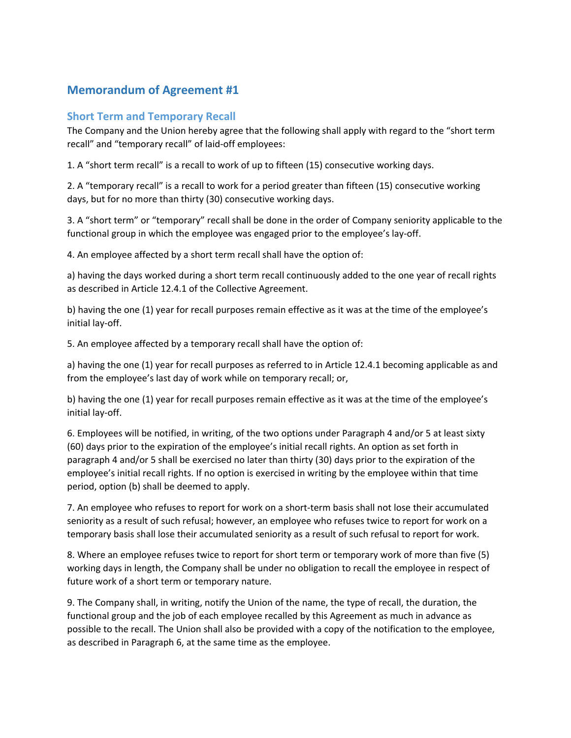# <span id="page-53-0"></span>**Memorandum of Agreement #1**

### <span id="page-53-1"></span>**Short Term and Temporary Recall**

The Company and the Union hereby agree that the following shall apply with regard to the "short term recall" and "temporary recall" of laid-off employees:

1. A "short term recall" is a recall to work of up to fifteen (15) consecutive working days.

2. A "temporary recall" is a recall to work for a period greater than fifteen (15) consecutive working days, but for no more than thirty (30) consecutive working days.

3. A "short term" or "temporary" recall shall be done in the order of Company seniority applicable to the functional group in which the employee was engaged prior to the employee's lay-off.

4. An employee affected by a short term recall shall have the option of:

a) having the days worked during a short term recall continuously added to the one year of recall rights as described in Article 12.4.1 of the Collective Agreement.

b) having the one (1) year for recall purposes remain effective as it was at the time of the employee's initial lay-off.

5. An employee affected by a temporary recall shall have the option of:

a) having the one (1) year for recall purposes as referred to in Article 12.4.1 becoming applicable as and from the employee's last day of work while on temporary recall; or,

b) having the one (1) year for recall purposes remain effective as it was at the time of the employee's initial lay-off.

6. Employees will be notified, in writing, of the two options under Paragraph 4 and/or 5 at least sixty (60) days prior to the expiration of the employee's initial recall rights. An option as set forth in paragraph 4 and/or 5 shall be exercised no later than thirty (30) days prior to the expiration of the employee's initial recall rights. If no option is exercised in writing by the employee within that time period, option (b) shall be deemed to apply.

7. An employee who refuses to report for work on a short-term basis shall not lose their accumulated seniority as a result of such refusal; however, an employee who refuses twice to report for work on a temporary basis shall lose their accumulated seniority as a result of such refusal to report for work.

8. Where an employee refuses twice to report for short term or temporary work of more than five (5) working days in length, the Company shall be under no obligation to recall the employee in respect of future work of a short term or temporary nature.

9. The Company shall, in writing, notify the Union of the name, the type of recall, the duration, the functional group and the job of each employee recalled by this Agreement as much in advance as possible to the recall. The Union shall also be provided with a copy of the notification to the employee, as described in Paragraph 6, at the same time as the employee.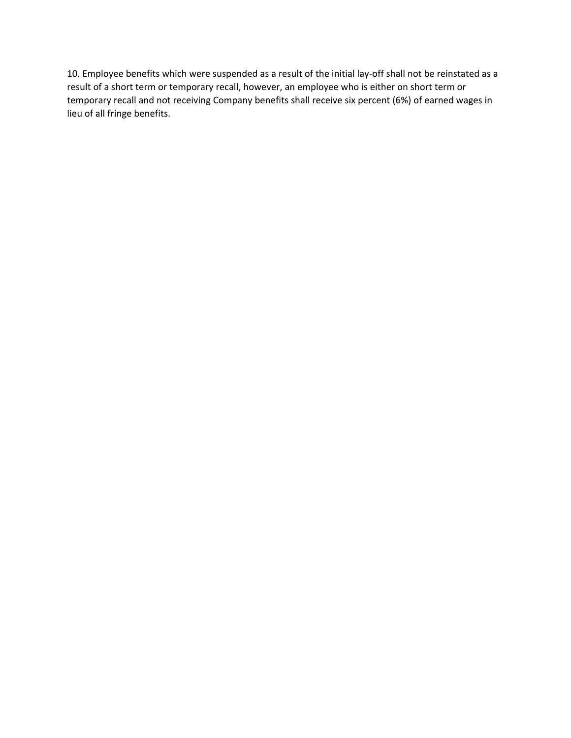10. Employee benefits which were suspended as a result of the initial lay-off shall not be reinstated as a result of a short term or temporary recall, however, an employee who is either on short term or temporary recall and not receiving Company benefits shall receive six percent (6%) of earned wages in lieu of all fringe benefits.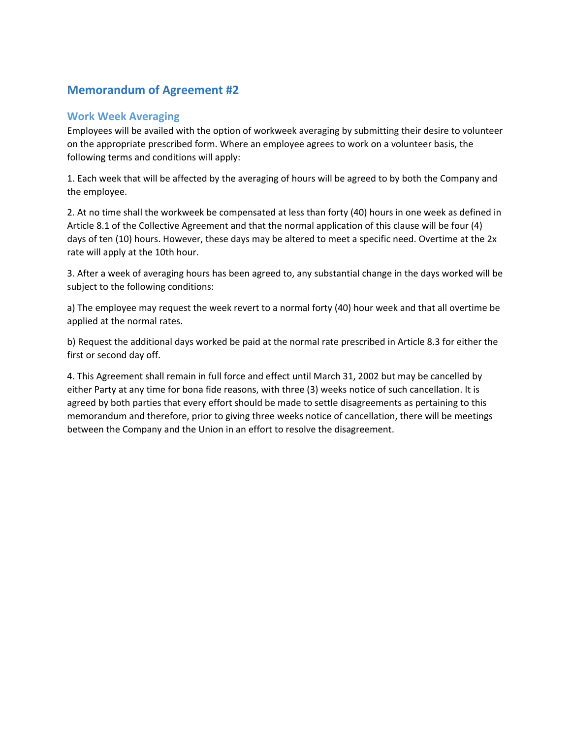# <span id="page-55-0"></span>**Memorandum of Agreement #2**

### <span id="page-55-1"></span>**Work Week Averaging**

Employees will be availed with the option of workweek averaging by submitting their desire to volunteer on the appropriate prescribed form. Where an employee agrees to work on a volunteer basis, the following terms and conditions will apply:

1. Each week that will be affected by the averaging of hours will be agreed to by both the Company and the employee.

2. At no time shall the workweek be compensated at less than forty (40) hours in one week as defined in Article 8.1 of the Collective Agreement and that the normal application of this clause will be four (4) days of ten (10) hours. However, these days may be altered to meet a specific need. Overtime at the 2x rate will apply at the 10th hour.

3. After a week of averaging hours has been agreed to, any substantial change in the days worked will be subject to the following conditions:

a) The employee may request the week revert to a normal forty (40) hour week and that all overtime be applied at the normal rates.

b) Request the additional days worked be paid at the normal rate prescribed in Article 8.3 for either the first or second day off.

4. This Agreement shall remain in full force and effect until March 31, 2002 but may be cancelled by either Party at any time for bona fide reasons, with three (3) weeks notice of such cancellation. It is agreed by both parties that every effort should be made to settle disagreements as pertaining to this memorandum and therefore, prior to giving three weeks notice of cancellation, there will be meetings between the Company and the Union in an effort to resolve the disagreement.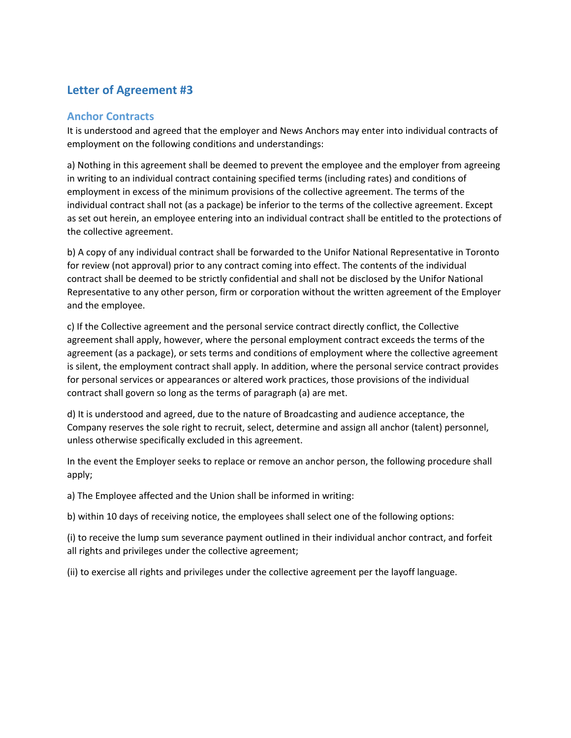# <span id="page-56-0"></span>**Letter of Agreement #3**

### <span id="page-56-1"></span>**Anchor Contracts**

It is understood and agreed that the employer and News Anchors may enter into individual contracts of employment on the following conditions and understandings:

a) Nothing in this agreement shall be deemed to prevent the employee and the employer from agreeing in writing to an individual contract containing specified terms (including rates) and conditions of employment in excess of the minimum provisions of the collective agreement. The terms of the individual contract shall not (as a package) be inferior to the terms of the collective agreement. Except as set out herein, an employee entering into an individual contract shall be entitled to the protections of the collective agreement.

b) A copy of any individual contract shall be forwarded to the Unifor National Representative in Toronto for review (not approval) prior to any contract coming into effect. The contents of the individual contract shall be deemed to be strictly confidential and shall not be disclosed by the Unifor National Representative to any other person, firm or corporation without the written agreement of the Employer and the employee.

c) If the Collective agreement and the personal service contract directly conflict, the Collective agreement shall apply, however, where the personal employment contract exceeds the terms of the agreement (as a package), or sets terms and conditions of employment where the collective agreement is silent, the employment contract shall apply. In addition, where the personal service contract provides for personal services or appearances or altered work practices, those provisions of the individual contract shall govern so long as the terms of paragraph (a) are met.

d) It is understood and agreed, due to the nature of Broadcasting and audience acceptance, the Company reserves the sole right to recruit, select, determine and assign all anchor (talent) personnel, unless otherwise specifically excluded in this agreement.

In the event the Employer seeks to replace or remove an anchor person, the following procedure shall apply;

a) The Employee affected and the Union shall be informed in writing:

b) within 10 days of receiving notice, the employees shall select one of the following options:

(i) to receive the lump sum severance payment outlined in their individual anchor contract, and forfeit all rights and privileges under the collective agreement;

(ii) to exercise all rights and privileges under the collective agreement per the layoff language.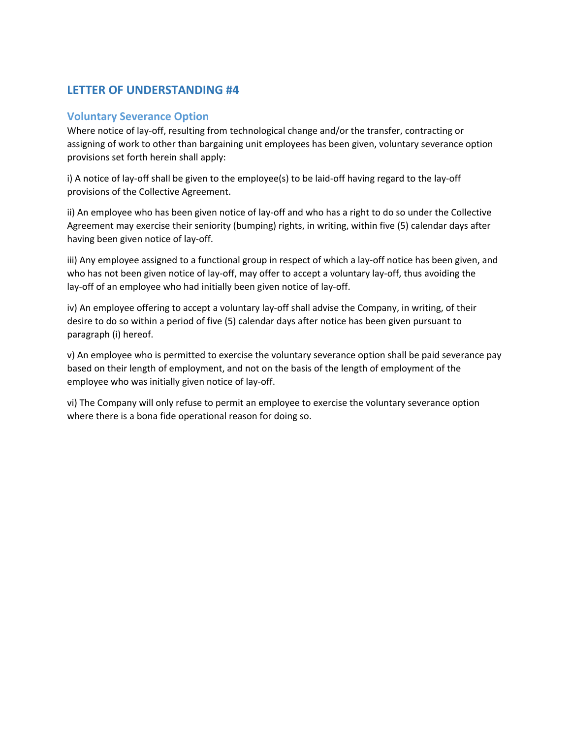# <span id="page-57-0"></span>**LETTER OF UNDERSTANDING #4**

#### <span id="page-57-1"></span>**Voluntary Severance Option**

Where notice of lay-off, resulting from technological change and/or the transfer, contracting or assigning of work to other than bargaining unit employees has been given, voluntary severance option provisions set forth herein shall apply:

i) A notice of lay-off shall be given to the employee(s) to be laid-off having regard to the lay-off provisions of the Collective Agreement.

ii) An employee who has been given notice of lay-off and who has a right to do so under the Collective Agreement may exercise their seniority (bumping) rights, in writing, within five (5) calendar days after having been given notice of lay-off.

iii) Any employee assigned to a functional group in respect of which a lay-off notice has been given, and who has not been given notice of lay-off, may offer to accept a voluntary lay-off, thus avoiding the lay-off of an employee who had initially been given notice of lay-off.

iv) An employee offering to accept a voluntary lay-off shall advise the Company, in writing, of their desire to do so within a period of five (5) calendar days after notice has been given pursuant to paragraph (i) hereof.

v) An employee who is permitted to exercise the voluntary severance option shall be paid severance pay based on their length of employment, and not on the basis of the length of employment of the employee who was initially given notice of lay-off.

vi) The Company will only refuse to permit an employee to exercise the voluntary severance option where there is a bona fide operational reason for doing so.